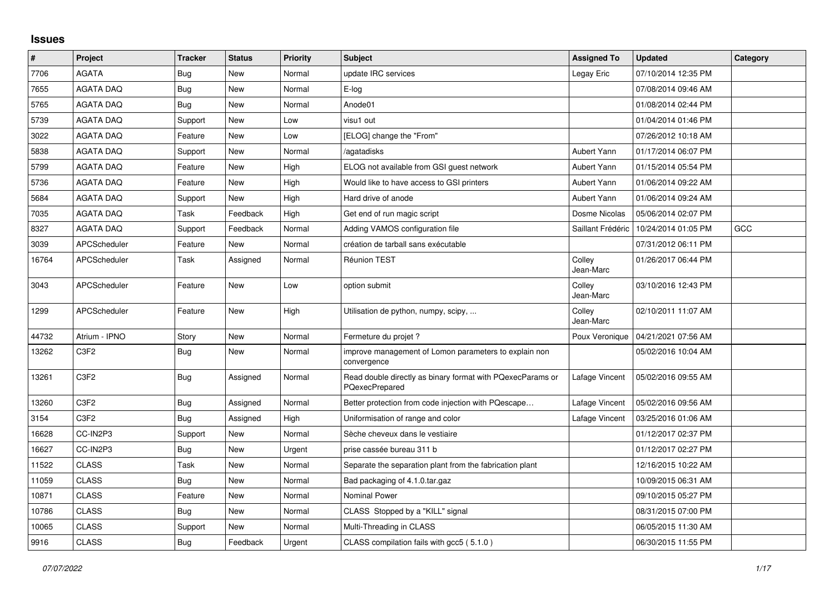## **Issues**

| $\vert$ # | Project                       | <b>Tracker</b> | <b>Status</b> | <b>Priority</b> | <b>Subject</b>                                                               | <b>Assigned To</b>  | <b>Updated</b>      | Category |
|-----------|-------------------------------|----------------|---------------|-----------------|------------------------------------------------------------------------------|---------------------|---------------------|----------|
| 7706      | <b>AGATA</b>                  | Bug            | New           | Normal          | update IRC services                                                          | Legay Eric          | 07/10/2014 12:35 PM |          |
| 7655      | <b>AGATA DAQ</b>              | Bug            | <b>New</b>    | Normal          | E-log                                                                        |                     | 07/08/2014 09:46 AM |          |
| 5765      | <b>AGATA DAQ</b>              | Bug            | New           | Normal          | Anode01                                                                      |                     | 01/08/2014 02:44 PM |          |
| 5739      | <b>AGATA DAQ</b>              | Support        | <b>New</b>    | Low             | visu1 out                                                                    |                     | 01/04/2014 01:46 PM |          |
| 3022      | <b>AGATA DAQ</b>              | Feature        | New           | Low             | [ELOG] change the "From"                                                     |                     | 07/26/2012 10:18 AM |          |
| 5838      | <b>AGATA DAQ</b>              | Support        | <b>New</b>    | Normal          | /agatadisks                                                                  | Aubert Yann         | 01/17/2014 06:07 PM |          |
| 5799      | <b>AGATA DAQ</b>              | Feature        | New           | High            | ELOG not available from GSI guest network                                    | Aubert Yann         | 01/15/2014 05:54 PM |          |
| 5736      | <b>AGATA DAQ</b>              | Feature        | <b>New</b>    | High            | Would like to have access to GSI printers                                    | Aubert Yann         | 01/06/2014 09:22 AM |          |
| 5684      | <b>AGATA DAQ</b>              | Support        | New           | High            | Hard drive of anode                                                          | Aubert Yann         | 01/06/2014 09:24 AM |          |
| 7035      | <b>AGATA DAQ</b>              | Task           | Feedback      | High            | Get end of run magic script                                                  | Dosme Nicolas       | 05/06/2014 02:07 PM |          |
| 8327      | <b>AGATA DAQ</b>              | Support        | Feedback      | Normal          | Adding VAMOS configuration file                                              | Saillant Frédéric   | 10/24/2014 01:05 PM | GCC      |
| 3039      | <b>APCScheduler</b>           | Feature        | <b>New</b>    | Normal          | création de tarball sans exécutable                                          |                     | 07/31/2012 06:11 PM |          |
| 16764     | APCScheduler                  | Task           | Assigned      | Normal          | <b>Réunion TEST</b>                                                          | Colley<br>Jean-Marc | 01/26/2017 06:44 PM |          |
| 3043      | <b>APCScheduler</b>           | Feature        | <b>New</b>    | Low             | option submit                                                                | Colley<br>Jean-Marc | 03/10/2016 12:43 PM |          |
| 1299      | APCScheduler                  | Feature        | <b>New</b>    | High            | Utilisation de python, numpy, scipy,                                         | Colley<br>Jean-Marc | 02/10/2011 11:07 AM |          |
| 44732     | Atrium - IPNO                 | Story          | <b>New</b>    | Normal          | Fermeture du projet ?                                                        | Poux Veronique      | 04/21/2021 07:56 AM |          |
| 13262     | C3F2                          | Bug            | New           | Normal          | improve management of Lomon parameters to explain non<br>convergence         |                     | 05/02/2016 10:04 AM |          |
| 13261     | C <sub>3F2</sub>              | Bug            | Assigned      | Normal          | Read double directly as binary format with PQexecParams or<br>PQexecPrepared | Lafage Vincent      | 05/02/2016 09:55 AM |          |
| 13260     | C <sub>3F2</sub>              | <b>Bug</b>     | Assigned      | Normal          | Better protection from code injection with PQescape                          | Lafage Vincent      | 05/02/2016 09:56 AM |          |
| 3154      | C <sub>3</sub> F <sub>2</sub> | Bug            | Assigned      | High            | Uniformisation of range and color                                            | Lafage Vincent      | 03/25/2016 01:06 AM |          |
| 16628     | CC-IN2P3                      | Support        | New           | Normal          | Sèche cheveux dans le vestiaire                                              |                     | 01/12/2017 02:37 PM |          |
| 16627     | CC-IN2P3                      | <b>Bug</b>     | New           | Urgent          | prise cassée bureau 311 b                                                    |                     | 01/12/2017 02:27 PM |          |
| 11522     | <b>CLASS</b>                  | Task           | New           | Normal          | Separate the separation plant from the fabrication plant                     |                     | 12/16/2015 10:22 AM |          |
| 11059     | <b>CLASS</b>                  | <b>Bug</b>     | <b>New</b>    | Normal          | Bad packaging of 4.1.0.tar.gaz                                               |                     | 10/09/2015 06:31 AM |          |
| 10871     | <b>CLASS</b>                  | Feature        | New           | Normal          | <b>Nominal Power</b>                                                         |                     | 09/10/2015 05:27 PM |          |
| 10786     | <b>CLASS</b>                  | Bug            | New           | Normal          | CLASS Stopped by a "KILL" signal                                             |                     | 08/31/2015 07:00 PM |          |
| 10065     | <b>CLASS</b>                  | Support        | <b>New</b>    | Normal          | Multi-Threading in CLASS                                                     |                     | 06/05/2015 11:30 AM |          |
| 9916      | <b>CLASS</b>                  | <b>Bug</b>     | Feedback      | Urgent          | CLASS compilation fails with gcc5 (5.1.0)                                    |                     | 06/30/2015 11:55 PM |          |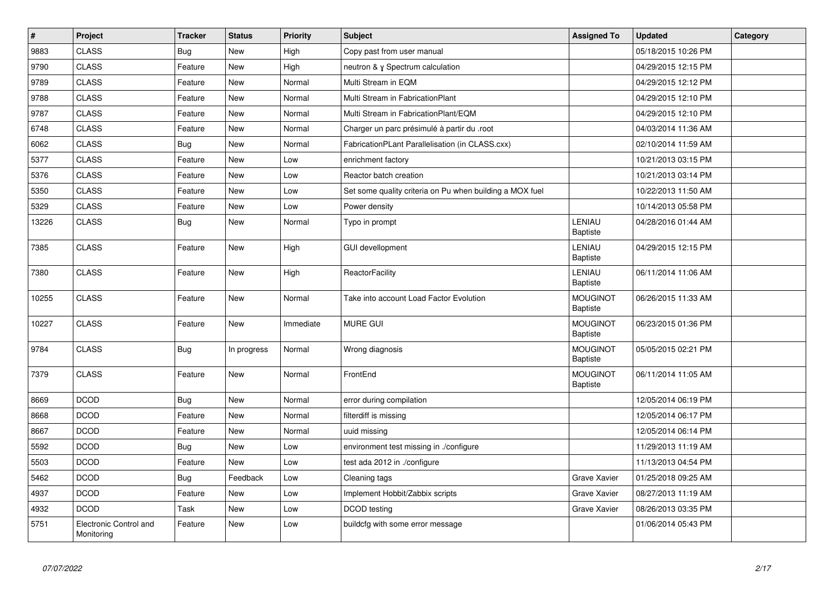| $\vert$ # | Project                              | <b>Tracker</b> | <b>Status</b> | <b>Priority</b> | <b>Subject</b>                                           | <b>Assigned To</b>                 | <b>Updated</b>      | Category |
|-----------|--------------------------------------|----------------|---------------|-----------------|----------------------------------------------------------|------------------------------------|---------------------|----------|
| 9883      | <b>CLASS</b>                         | Bug            | New           | High            | Copy past from user manual                               |                                    | 05/18/2015 10:26 PM |          |
| 9790      | <b>CLASS</b>                         | Feature        | New           | High            | neutron & y Spectrum calculation                         |                                    | 04/29/2015 12:15 PM |          |
| 9789      | <b>CLASS</b>                         | Feature        | New           | Normal          | Multi Stream in EQM                                      |                                    | 04/29/2015 12:12 PM |          |
| 9788      | <b>CLASS</b>                         | Feature        | New           | Normal          | Multi Stream in FabricationPlant                         |                                    | 04/29/2015 12:10 PM |          |
| 9787      | <b>CLASS</b>                         | Feature        | New           | Normal          | Multi Stream in FabricationPlant/EQM                     |                                    | 04/29/2015 12:10 PM |          |
| 6748      | <b>CLASS</b>                         | Feature        | New           | Normal          | Charger un parc présimulé à partir du .root              |                                    | 04/03/2014 11:36 AM |          |
| 6062      | CLASS                                | <b>Bug</b>     | <b>New</b>    | Normal          | FabricationPLant Parallelisation (in CLASS.cxx)          |                                    | 02/10/2014 11:59 AM |          |
| 5377      | <b>CLASS</b>                         | Feature        | New           | Low             | enrichment factory                                       |                                    | 10/21/2013 03:15 PM |          |
| 5376      | <b>CLASS</b>                         | Feature        | New           | Low             | Reactor batch creation                                   |                                    | 10/21/2013 03:14 PM |          |
| 5350      | <b>CLASS</b>                         | Feature        | New           | Low             | Set some quality criteria on Pu when building a MOX fuel |                                    | 10/22/2013 11:50 AM |          |
| 5329      | <b>CLASS</b>                         | Feature        | New           | Low             | Power density                                            |                                    | 10/14/2013 05:58 PM |          |
| 13226     | <b>CLASS</b>                         | <b>Bug</b>     | New           | Normal          | Typo in prompt                                           | <b>LENIAU</b><br>Baptiste          | 04/28/2016 01:44 AM |          |
| 7385      | <b>CLASS</b>                         | Feature        | New           | High            | <b>GUI devellopment</b>                                  | LENIAU<br><b>Baptiste</b>          | 04/29/2015 12:15 PM |          |
| 7380      | <b>CLASS</b>                         | Feature        | New           | High            | ReactorFacility                                          | LENIAU<br><b>Baptiste</b>          | 06/11/2014 11:06 AM |          |
| 10255     | <b>CLASS</b>                         | Feature        | New           | Normal          | Take into account Load Factor Evolution                  | <b>MOUGINOT</b><br><b>Baptiste</b> | 06/26/2015 11:33 AM |          |
| 10227     | <b>CLASS</b>                         | Feature        | New           | Immediate       | <b>MURE GUI</b>                                          | <b>MOUGINOT</b><br><b>Baptiste</b> | 06/23/2015 01:36 PM |          |
| 9784      | <b>CLASS</b>                         | Bug            | In progress   | Normal          | Wrong diagnosis                                          | <b>MOUGINOT</b><br><b>Baptiste</b> | 05/05/2015 02:21 PM |          |
| 7379      | <b>CLASS</b>                         | Feature        | New           | Normal          | FrontEnd                                                 | <b>MOUGINOT</b><br>Baptiste        | 06/11/2014 11:05 AM |          |
| 8669      | <b>DCOD</b>                          | <b>Bug</b>     | <b>New</b>    | Normal          | error during compilation                                 |                                    | 12/05/2014 06:19 PM |          |
| 8668      | <b>DCOD</b>                          | Feature        | New           | Normal          | filterdiff is missing                                    |                                    | 12/05/2014 06:17 PM |          |
| 8667      | <b>DCOD</b>                          | Feature        | New           | Normal          | uuid missing                                             |                                    | 12/05/2014 06:14 PM |          |
| 5592      | <b>DCOD</b>                          | Bug            | New           | Low             | environment test missing in ./configure                  |                                    | 11/29/2013 11:19 AM |          |
| 5503      | <b>DCOD</b>                          | Feature        | New           | Low             | test ada 2012 in ./configure                             |                                    | 11/13/2013 04:54 PM |          |
| 5462      | <b>DCOD</b>                          | <b>Bug</b>     | Feedback      | Low             | Cleaning tags                                            | Grave Xavier                       | 01/25/2018 09:25 AM |          |
| 4937      | <b>DCOD</b>                          | Feature        | New           | Low             | Implement Hobbit/Zabbix scripts                          | Grave Xavier                       | 08/27/2013 11:19 AM |          |
| 4932      | <b>DCOD</b>                          | Task           | New           | Low             | <b>DCOD</b> testing                                      | Grave Xavier                       | 08/26/2013 03:35 PM |          |
| 5751      | Electronic Control and<br>Monitoring | Feature        | <b>New</b>    | Low             | buildcfg with some error message                         |                                    | 01/06/2014 05:43 PM |          |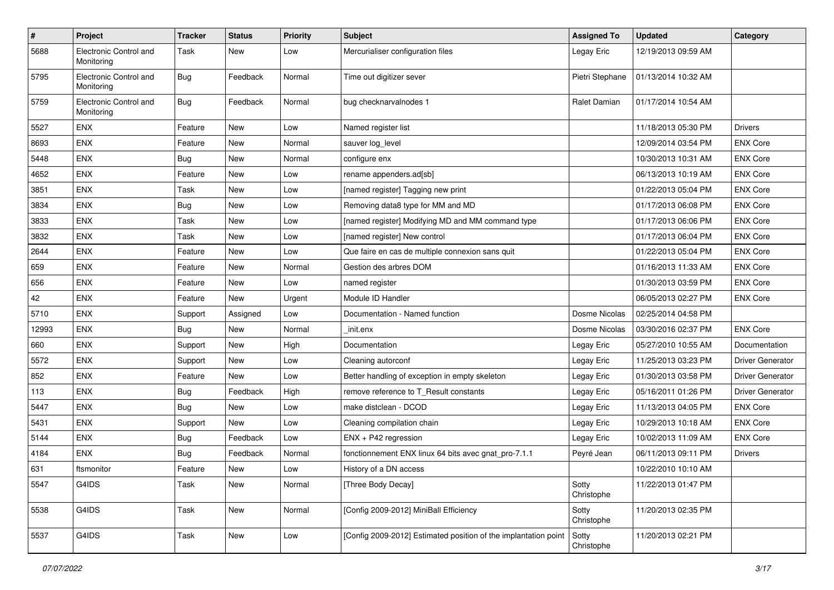| $\sharp$ | Project                              | <b>Tracker</b> | <b>Status</b> | <b>Priority</b> | <b>Subject</b>                                                  | <b>Assigned To</b>  | <b>Updated</b>      | Category                |
|----------|--------------------------------------|----------------|---------------|-----------------|-----------------------------------------------------------------|---------------------|---------------------|-------------------------|
| 5688     | Electronic Control and<br>Monitoring | Task           | New           | Low             | Mercurialiser configuration files                               | Legay Eric          | 12/19/2013 09:59 AM |                         |
| 5795     | Electronic Control and<br>Monitoring | Bug            | Feedback      | Normal          | Time out digitizer sever                                        | Pietri Stephane     | 01/13/2014 10:32 AM |                         |
| 5759     | Electronic Control and<br>Monitoring | Bug            | Feedback      | Normal          | bug checknarvalnodes 1                                          | <b>Ralet Damian</b> | 01/17/2014 10:54 AM |                         |
| 5527     | ENX                                  | Feature        | New           | Low             | Named register list                                             |                     | 11/18/2013 05:30 PM | <b>Drivers</b>          |
| 8693     | <b>ENX</b>                           | Feature        | New           | Normal          | sauver log_level                                                |                     | 12/09/2014 03:54 PM | <b>ENX Core</b>         |
| 5448     | <b>ENX</b>                           | Bug            | New           | Normal          | configure enx                                                   |                     | 10/30/2013 10:31 AM | <b>ENX Core</b>         |
| 4652     | <b>ENX</b>                           | Feature        | New           | Low             | rename appenders.ad[sb]                                         |                     | 06/13/2013 10:19 AM | <b>ENX Core</b>         |
| 3851     | <b>ENX</b>                           | Task           | New           | Low             | [named register] Tagging new print                              |                     | 01/22/2013 05:04 PM | <b>ENX Core</b>         |
| 3834     | <b>ENX</b>                           | Bug            | <b>New</b>    | Low             | Removing data8 type for MM and MD                               |                     | 01/17/2013 06:08 PM | <b>ENX Core</b>         |
| 3833     | <b>ENX</b>                           | Task           | New           | Low             | [named register] Modifying MD and MM command type               |                     | 01/17/2013 06:06 PM | <b>ENX Core</b>         |
| 3832     | ENX                                  | Task           | New           | Low             | [named register] New control                                    |                     | 01/17/2013 06:04 PM | <b>ENX Core</b>         |
| 2644     | <b>ENX</b>                           | Feature        | New           | Low             | Que faire en cas de multiple connexion sans quit                |                     | 01/22/2013 05:04 PM | <b>ENX Core</b>         |
| 659      | <b>ENX</b>                           | Feature        | New           | Normal          | Gestion des arbres DOM                                          |                     | 01/16/2013 11:33 AM | <b>ENX Core</b>         |
| 656      | <b>ENX</b>                           | Feature        | New           | Low             | named register                                                  |                     | 01/30/2013 03:59 PM | <b>ENX Core</b>         |
| 42       | ENX                                  | Feature        | New           | Urgent          | Module ID Handler                                               |                     | 06/05/2013 02:27 PM | <b>ENX Core</b>         |
| 5710     | ENX                                  | Support        | Assigned      | Low             | Documentation - Named function                                  | Dosme Nicolas       | 02/25/2014 04:58 PM |                         |
| 12993    | ENX                                  | <b>Bug</b>     | New           | Normal          | init.enx                                                        | Dosme Nicolas       | 03/30/2016 02:37 PM | <b>ENX Core</b>         |
| 660      | ENX                                  | Support        | New           | High            | Documentation                                                   | Legay Eric          | 05/27/2010 10:55 AM | Documentation           |
| 5572     | ENX                                  | Support        | New           | Low             | Cleaning autorconf                                              | Legay Eric          | 11/25/2013 03:23 PM | Driver Generator        |
| 852      | ENX                                  | Feature        | <b>New</b>    | Low             | Better handling of exception in empty skeleton                  | Legay Eric          | 01/30/2013 03:58 PM | <b>Driver Generator</b> |
| 113      | ENX                                  | Bug            | Feedback      | High            | remove reference to T Result constants                          | Legay Eric          | 05/16/2011 01:26 PM | <b>Driver Generator</b> |
| 5447     | <b>ENX</b>                           | Bug            | <b>New</b>    | Low             | make distclean - DCOD                                           | Legay Eric          | 11/13/2013 04:05 PM | <b>ENX Core</b>         |
| 5431     | ENX                                  | Support        | New           | Low             | Cleaning compilation chain                                      | Legay Eric          | 10/29/2013 10:18 AM | <b>ENX Core</b>         |
| 5144     | ENX                                  | Bug            | Feedback      | Low             | ENX + P42 regression                                            | Legay Eric          | 10/02/2013 11:09 AM | <b>ENX Core</b>         |
| 4184     | ENX                                  | Bug            | Feedback      | Normal          | fonctionnement ENX linux 64 bits avec gnat_pro-7.1.1            | Peyré Jean          | 06/11/2013 09:11 PM | <b>Drivers</b>          |
| 631      | ftsmonitor                           | Feature        | New           | Low             | History of a DN access                                          |                     | 10/22/2010 10:10 AM |                         |
| 5547     | G4IDS                                | Task           | New           | Normal          | [Three Body Decay]                                              | Sotty<br>Christophe | 11/22/2013 01:47 PM |                         |
| 5538     | G4IDS                                | Task           | New           | Normal          | [Config 2009-2012] MiniBall Efficiency                          | Sotty<br>Christophe | 11/20/2013 02:35 PM |                         |
| 5537     | G4IDS                                | Task           | New           | Low             | [Config 2009-2012] Estimated position of the implantation point | Sotty<br>Christophe | 11/20/2013 02:21 PM |                         |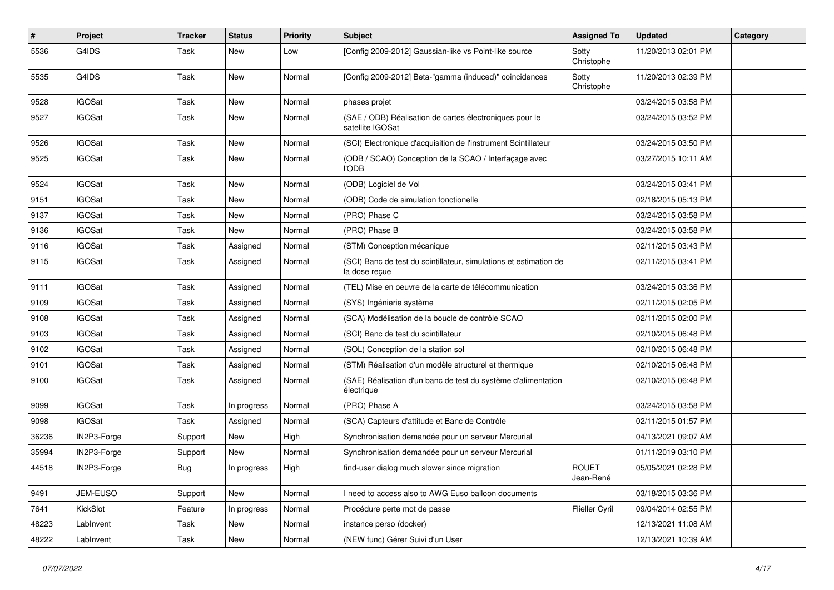| #     | Project       | <b>Tracker</b> | <b>Status</b> | <b>Priority</b> | <b>Subject</b>                                                                     | <b>Assigned To</b>        | <b>Updated</b>      | Category |
|-------|---------------|----------------|---------------|-----------------|------------------------------------------------------------------------------------|---------------------------|---------------------|----------|
| 5536  | G4IDS         | Task           | New           | Low             | [Config 2009-2012] Gaussian-like vs Point-like source                              | Sotty<br>Christophe       | 11/20/2013 02:01 PM |          |
| 5535  | G4IDS         | Task           | New           | Normal          | [Config 2009-2012] Beta-"gamma (induced)" coincidences                             | Sotty<br>Christophe       | 11/20/2013 02:39 PM |          |
| 9528  | <b>IGOSat</b> | Task           | New           | Normal          | phases projet                                                                      |                           | 03/24/2015 03:58 PM |          |
| 9527  | <b>IGOSat</b> | Task           | New           | Normal          | (SAE / ODB) Réalisation de cartes électroniques pour le<br>satellite IGOSat        |                           | 03/24/2015 03:52 PM |          |
| 9526  | <b>IGOSat</b> | Task           | New           | Normal          | (SCI) Electronique d'acquisition de l'instrument Scintillateur                     |                           | 03/24/2015 03:50 PM |          |
| 9525  | <b>IGOSat</b> | Task           | New           | Normal          | (ODB / SCAO) Conception de la SCAO / Interfaçage avec<br>l'ODB                     |                           | 03/27/2015 10:11 AM |          |
| 9524  | <b>IGOSat</b> | Task           | New           | Normal          | (ODB) Logiciel de Vol                                                              |                           | 03/24/2015 03:41 PM |          |
| 9151  | <b>IGOSat</b> | Task           | New           | Normal          | (ODB) Code de simulation fonctionelle                                              |                           | 02/18/2015 05:13 PM |          |
| 9137  | <b>IGOSat</b> | Task           | New           | Normal          | (PRO) Phase C                                                                      |                           | 03/24/2015 03:58 PM |          |
| 9136  | <b>IGOSat</b> | Task           | New           | Normal          | (PRO) Phase B                                                                      |                           | 03/24/2015 03:58 PM |          |
| 9116  | <b>IGOSat</b> | Task           | Assigned      | Normal          | (STM) Conception mécanique                                                         |                           | 02/11/2015 03:43 PM |          |
| 9115  | IGOSat        | Task           | Assigned      | Normal          | (SCI) Banc de test du scintillateur, simulations et estimation de<br>la dose reçue |                           | 02/11/2015 03:41 PM |          |
| 9111  | <b>IGOSat</b> | Task           | Assigned      | Normal          | (TEL) Mise en oeuvre de la carte de télécommunication                              |                           | 03/24/2015 03:36 PM |          |
| 9109  | <b>IGOSat</b> | Task           | Assigned      | Normal          | (SYS) Ingénierie système                                                           |                           | 02/11/2015 02:05 PM |          |
| 9108  | <b>IGOSat</b> | Task           | Assigned      | Normal          | (SCA) Modélisation de la boucle de contrôle SCAO                                   |                           | 02/11/2015 02:00 PM |          |
| 9103  | <b>IGOSat</b> | Task           | Assigned      | Normal          | (SCI) Banc de test du scintillateur                                                |                           | 02/10/2015 06:48 PM |          |
| 9102  | <b>IGOSat</b> | Task           | Assigned      | Normal          | (SOL) Conception de la station sol                                                 |                           | 02/10/2015 06:48 PM |          |
| 9101  | <b>IGOSat</b> | Task           | Assigned      | Normal          | (STM) Réalisation d'un modèle structurel et thermique                              |                           | 02/10/2015 06:48 PM |          |
| 9100  | IGOSat        | Task           | Assigned      | Normal          | (SAE) Réalisation d'un banc de test du système d'alimentation<br>électrique        |                           | 02/10/2015 06:48 PM |          |
| 9099  | <b>IGOSat</b> | Task           | In progress   | Normal          | (PRO) Phase A                                                                      |                           | 03/24/2015 03:58 PM |          |
| 9098  | <b>IGOSat</b> | Task           | Assigned      | Normal          | (SCA) Capteurs d'attitude et Banc de Contrôle                                      |                           | 02/11/2015 01:57 PM |          |
| 36236 | IN2P3-Forge   | Support        | New           | High            | Synchronisation demandée pour un serveur Mercurial                                 |                           | 04/13/2021 09:07 AM |          |
| 35994 | IN2P3-Forge   | Support        | New           | Normal          | Synchronisation demandée pour un serveur Mercurial                                 |                           | 01/11/2019 03:10 PM |          |
| 44518 | IN2P3-Forge   | Bug            | In progress   | High            | find-user dialog much slower since migration                                       | <b>ROUET</b><br>Jean-René | 05/05/2021 02:28 PM |          |
| 9491  | JEM-EUSO      | Support        | New           | Normal          | need to access also to AWG Euso balloon documents                                  |                           | 03/18/2015 03:36 PM |          |
| 7641  | KickSlot      | Feature        | In progress   | Normal          | Procédure perte mot de passe                                                       | Flieller Cyril            | 09/04/2014 02:55 PM |          |
| 48223 | LabInvent     | Task           | New           | Normal          | instance perso (docker)                                                            |                           | 12/13/2021 11:08 AM |          |
| 48222 | LabInvent     | Task           | New           | Normal          | (NEW func) Gérer Suivi d'un User                                                   |                           | 12/13/2021 10:39 AM |          |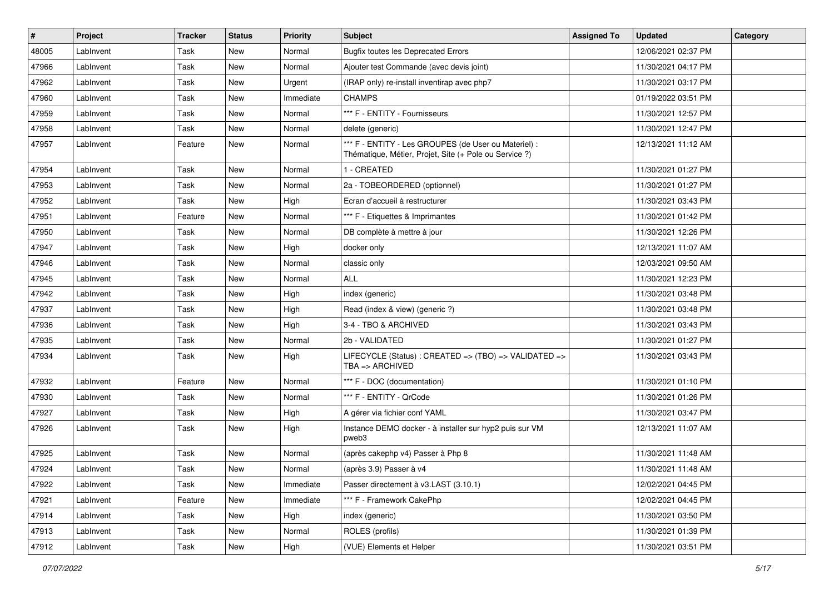| #     | Project   | <b>Tracker</b> | <b>Status</b> | <b>Priority</b> | Subject                                                                                                        | <b>Assigned To</b> | <b>Updated</b>      | Category |
|-------|-----------|----------------|---------------|-----------------|----------------------------------------------------------------------------------------------------------------|--------------------|---------------------|----------|
| 48005 | LabInvent | Task           | <b>New</b>    | Normal          | <b>Bugfix toutes les Deprecated Errors</b>                                                                     |                    | 12/06/2021 02:37 PM |          |
| 47966 | LabInvent | Task           | <b>New</b>    | Normal          | Ajouter test Commande (avec devis joint)                                                                       |                    | 11/30/2021 04:17 PM |          |
| 47962 | LabInvent | Task           | New           | Urgent          | (IRAP only) re-install inventirap avec php7                                                                    |                    | 11/30/2021 03:17 PM |          |
| 47960 | LabInvent | Task           | New           | Immediate       | <b>CHAMPS</b>                                                                                                  |                    | 01/19/2022 03:51 PM |          |
| 47959 | LabInvent | Task           | New           | Normal          | *** F - ENTITY - Fournisseurs                                                                                  |                    | 11/30/2021 12:57 PM |          |
| 47958 | LabInvent | Task           | New           | Normal          | delete (generic)                                                                                               |                    | 11/30/2021 12:47 PM |          |
| 47957 | LabInvent | Feature        | New           | Normal          | *** F - ENTITY - Les GROUPES (de User ou Materiel) :<br>Thématique, Métier, Projet, Site (+ Pole ou Service ?) |                    | 12/13/2021 11:12 AM |          |
| 47954 | LabInvent | Task           | New           | Normal          | 1 - CREATED                                                                                                    |                    | 11/30/2021 01:27 PM |          |
| 47953 | LabInvent | Task           | <b>New</b>    | Normal          | 2a - TOBEORDERED (optionnel)                                                                                   |                    | 11/30/2021 01:27 PM |          |
| 47952 | LabInvent | Task           | New           | High            | Ecran d'accueil à restructurer                                                                                 |                    | 11/30/2021 03:43 PM |          |
| 47951 | LabInvent | Feature        | New           | Normal          | *** F - Etiquettes & Imprimantes                                                                               |                    | 11/30/2021 01:42 PM |          |
| 47950 | LabInvent | Task           | New           | Normal          | DB complète à mettre à jour                                                                                    |                    | 11/30/2021 12:26 PM |          |
| 47947 | LabInvent | Task           | <b>New</b>    | High            | docker only                                                                                                    |                    | 12/13/2021 11:07 AM |          |
| 47946 | LabInvent | Task           | <b>New</b>    | Normal          | classic only                                                                                                   |                    | 12/03/2021 09:50 AM |          |
| 47945 | LabInvent | Task           | New           | Normal          | ALL                                                                                                            |                    | 11/30/2021 12:23 PM |          |
| 47942 | LabInvent | Task           | New           | High            | index (generic)                                                                                                |                    | 11/30/2021 03:48 PM |          |
| 47937 | LabInvent | Task           | New           | High            | Read (index & view) (generic ?)                                                                                |                    | 11/30/2021 03:48 PM |          |
| 47936 | LabInvent | Task           | New           | High            | 3-4 - TBO & ARCHIVED                                                                                           |                    | 11/30/2021 03:43 PM |          |
| 47935 | LabInvent | Task           | <b>New</b>    | Normal          | 2b - VALIDATED                                                                                                 |                    | 11/30/2021 01:27 PM |          |
| 47934 | LabInvent | Task           | New           | High            | LIFECYCLE (Status): CREATED => (TBO) => VALIDATED =><br>$TBA \Rightarrow ARCHIVED$                             |                    | 11/30/2021 03:43 PM |          |
| 47932 | LabInvent | Feature        | New           | Normal          | *** F - DOC (documentation)                                                                                    |                    | 11/30/2021 01:10 PM |          |
| 47930 | LabInvent | Task           | New           | Normal          | *** F - ENTITY - QrCode                                                                                        |                    | 11/30/2021 01:26 PM |          |
| 47927 | LabInvent | Task           | New           | High            | A gérer via fichier conf YAML                                                                                  |                    | 11/30/2021 03:47 PM |          |
| 47926 | LabInvent | Task           | New           | High            | Instance DEMO docker - à installer sur hyp2 puis sur VM<br>pweb3                                               |                    | 12/13/2021 11:07 AM |          |
| 47925 | LabInvent | Task           | <b>New</b>    | Normal          | (après cakephp v4) Passer à Php 8                                                                              |                    | 11/30/2021 11:48 AM |          |
| 47924 | LabInvent | Task           | New           | Normal          | (après 3.9) Passer à v4                                                                                        |                    | 11/30/2021 11:48 AM |          |
| 47922 | LabInvent | Task           | New           | Immediate       | Passer directement à v3.LAST (3.10.1)                                                                          |                    | 12/02/2021 04:45 PM |          |
| 47921 | LabInvent | Feature        | New           | Immediate       | *** F - Framework CakePhp                                                                                      |                    | 12/02/2021 04:45 PM |          |
| 47914 | LabInvent | Task           | New           | High            | index (generic)                                                                                                |                    | 11/30/2021 03:50 PM |          |
| 47913 | LabInvent | Task           | New           | Normal          | ROLES (profils)                                                                                                |                    | 11/30/2021 01:39 PM |          |
| 47912 | LabInvent | Task           | New           | High            | (VUE) Elements et Helper                                                                                       |                    | 11/30/2021 03:51 PM |          |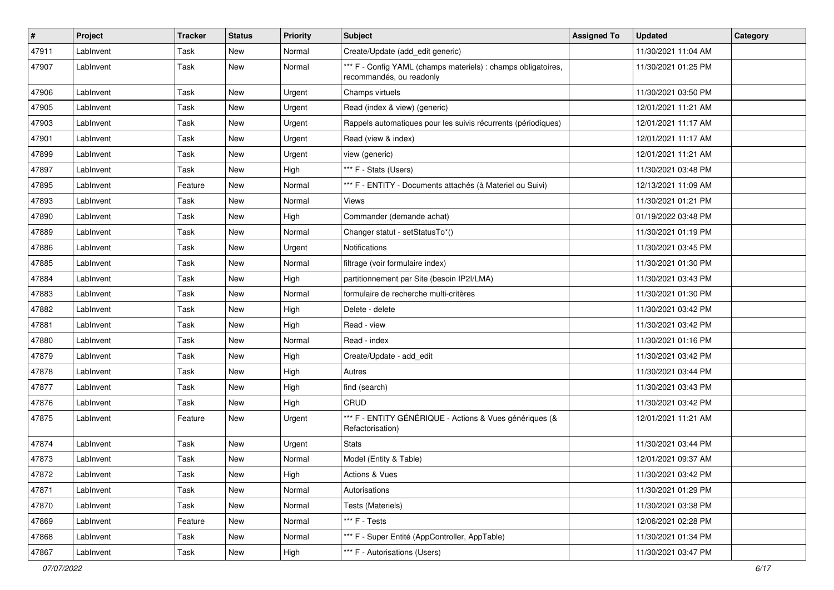| $\vert$ # | Project   | <b>Tracker</b> | <b>Status</b> | <b>Priority</b> | <b>Subject</b>                                                                            | <b>Assigned To</b> | <b>Updated</b>      | Category |
|-----------|-----------|----------------|---------------|-----------------|-------------------------------------------------------------------------------------------|--------------------|---------------------|----------|
| 47911     | LabInvent | Task           | New           | Normal          | Create/Update (add_edit generic)                                                          |                    | 11/30/2021 11:04 AM |          |
| 47907     | LabInvent | Task           | New           | Normal          | *** F - Config YAML (champs materiels) : champs obligatoires,<br>recommandés, ou readonly |                    | 11/30/2021 01:25 PM |          |
| 47906     | LabInvent | Task           | <b>New</b>    | Urgent          | Champs virtuels                                                                           |                    | 11/30/2021 03:50 PM |          |
| 47905     | LabInvent | Task           | <b>New</b>    | Urgent          | Read (index & view) (generic)                                                             |                    | 12/01/2021 11:21 AM |          |
| 47903     | LabInvent | Task           | <b>New</b>    | Urgent          | Rappels automatiques pour les suivis récurrents (périodiques)                             |                    | 12/01/2021 11:17 AM |          |
| 47901     | LabInvent | Task           | <b>New</b>    | Urgent          | Read (view & index)                                                                       |                    | 12/01/2021 11:17 AM |          |
| 47899     | LabInvent | Task           | New           | Urgent          | view (generic)                                                                            |                    | 12/01/2021 11:21 AM |          |
| 47897     | LabInvent | Task           | <b>New</b>    | High            | *** F - Stats (Users)                                                                     |                    | 11/30/2021 03:48 PM |          |
| 47895     | LabInvent | Feature        | <b>New</b>    | Normal          | *** F - ENTITY - Documents attachés (à Materiel ou Suivi)                                 |                    | 12/13/2021 11:09 AM |          |
| 47893     | LabInvent | Task           | New           | Normal          | Views                                                                                     |                    | 11/30/2021 01:21 PM |          |
| 47890     | LabInvent | Task           | <b>New</b>    | High            | Commander (demande achat)                                                                 |                    | 01/19/2022 03:48 PM |          |
| 47889     | LabInvent | Task           | New           | Normal          | Changer statut - setStatusTo*()                                                           |                    | 11/30/2021 01:19 PM |          |
| 47886     | LabInvent | Task           | <b>New</b>    | Urgent          | <b>Notifications</b>                                                                      |                    | 11/30/2021 03:45 PM |          |
| 47885     | LabInvent | Task           | New           | Normal          | filtrage (voir formulaire index)                                                          |                    | 11/30/2021 01:30 PM |          |
| 47884     | LabInvent | Task           | <b>New</b>    | High            | partitionnement par Site (besoin IP2I/LMA)                                                |                    | 11/30/2021 03:43 PM |          |
| 47883     | LabInvent | Task           | <b>New</b>    | Normal          | formulaire de recherche multi-critères                                                    |                    | 11/30/2021 01:30 PM |          |
| 47882     | LabInvent | Task           | <b>New</b>    | High            | Delete - delete                                                                           |                    | 11/30/2021 03:42 PM |          |
| 47881     | LabInvent | Task           | <b>New</b>    | High            | Read - view                                                                               |                    | 11/30/2021 03:42 PM |          |
| 47880     | LabInvent | Task           | <b>New</b>    | Normal          | Read - index                                                                              |                    | 11/30/2021 01:16 PM |          |
| 47879     | LabInvent | Task           | New           | High            | Create/Update - add edit                                                                  |                    | 11/30/2021 03:42 PM |          |
| 47878     | LabInvent | Task           | New           | High            | Autres                                                                                    |                    | 11/30/2021 03:44 PM |          |
| 47877     | LabInvent | Task           | <b>New</b>    | High            | find (search)                                                                             |                    | 11/30/2021 03:43 PM |          |
| 47876     | LabInvent | Task           | <b>New</b>    | High            | CRUD                                                                                      |                    | 11/30/2021 03:42 PM |          |
| 47875     | LabInvent | Feature        | New           | Urgent          | *** F - ENTITY GÉNÉRIQUE - Actions & Vues génériques (&<br>Refactorisation)               |                    | 12/01/2021 11:21 AM |          |
| 47874     | LabInvent | Task           | <b>New</b>    | Urgent          | <b>Stats</b>                                                                              |                    | 11/30/2021 03:44 PM |          |
| 47873     | LabInvent | Task           | <b>New</b>    | Normal          | Model (Entity & Table)                                                                    |                    | 12/01/2021 09:37 AM |          |
| 47872     | LabInvent | Task           | New           | High            | <b>Actions &amp; Vues</b>                                                                 |                    | 11/30/2021 03:42 PM |          |
| 47871     | LabInvent | Task           | New           | Normal          | Autorisations                                                                             |                    | 11/30/2021 01:29 PM |          |
| 47870     | LabInvent | Task           | New           | Normal          | Tests (Materiels)                                                                         |                    | 11/30/2021 03:38 PM |          |
| 47869     | LabInvent | Feature        | New           | Normal          | *** F - Tests                                                                             |                    | 12/06/2021 02:28 PM |          |
| 47868     | LabInvent | Task           | New           | Normal          | *** F - Super Entité (AppController, AppTable)                                            |                    | 11/30/2021 01:34 PM |          |
| 47867     | LabInvent | Task           | New           | High            | *** F - Autorisations (Users)                                                             |                    | 11/30/2021 03:47 PM |          |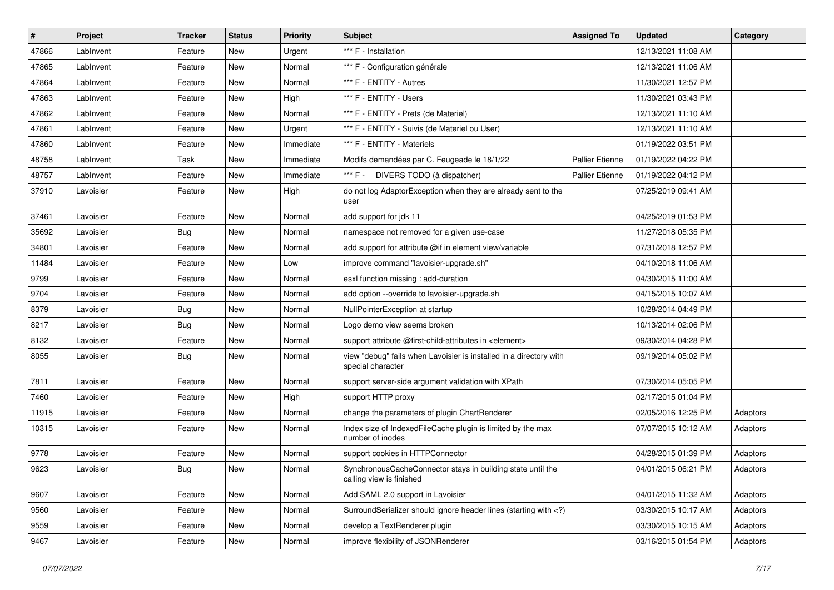| $\sharp$ | Project   | <b>Tracker</b> | <b>Status</b> | <b>Priority</b> | Subject                                                                                                                     | <b>Assigned To</b>     | <b>Updated</b>      | Category |
|----------|-----------|----------------|---------------|-----------------|-----------------------------------------------------------------------------------------------------------------------------|------------------------|---------------------|----------|
| 47866    | LabInvent | Feature        | New           | Urgent          | *** F - Installation                                                                                                        |                        | 12/13/2021 11:08 AM |          |
| 47865    | LabInvent | Feature        | New           | Normal          | *** F - Configuration générale                                                                                              |                        | 12/13/2021 11:06 AM |          |
| 47864    | LabInvent | Feature        | New           | Normal          | *** F - ENTITY - Autres                                                                                                     |                        | 11/30/2021 12:57 PM |          |
| 47863    | LabInvent | Feature        | New           | High            | *** F - ENTITY - Users                                                                                                      |                        | 11/30/2021 03:43 PM |          |
| 47862    | LabInvent | Feature        | New           | Normal          | *** F - ENTITY - Prets (de Materiel)                                                                                        |                        | 12/13/2021 11:10 AM |          |
| 47861    | LabInvent | Feature        | New           | Urgent          | *** F - ENTITY - Suivis (de Materiel ou User)                                                                               |                        | 12/13/2021 11:10 AM |          |
| 47860    | LabInvent | Feature        | New           | Immediate       | *** F - ENTITY - Materiels                                                                                                  |                        | 01/19/2022 03:51 PM |          |
| 48758    | LabInvent | Task           | New           | Immediate       | Modifs demandées par C. Feugeade le 18/1/22                                                                                 | <b>Pallier Etienne</b> | 01/19/2022 04:22 PM |          |
| 48757    | LabInvent | Feature        | New           | Immediate       | *** F -<br>DIVERS TODO (à dispatcher)                                                                                       | <b>Pallier Etienne</b> | 01/19/2022 04:12 PM |          |
| 37910    | Lavoisier | Feature        | New           | High            | do not log AdaptorException when they are already sent to the<br>user                                                       |                        | 07/25/2019 09:41 AM |          |
| 37461    | Lavoisier | Feature        | New           | Normal          | add support for jdk 11                                                                                                      |                        | 04/25/2019 01:53 PM |          |
| 35692    | Lavoisier | Bug            | New           | Normal          | namespace not removed for a given use-case                                                                                  |                        | 11/27/2018 05:35 PM |          |
| 34801    | Lavoisier | Feature        | New           | Normal          | add support for attribute @if in element view/variable                                                                      |                        | 07/31/2018 12:57 PM |          |
| 11484    | Lavoisier | Feature        | New           | Low             | improve command "lavoisier-upgrade.sh"                                                                                      |                        | 04/10/2018 11:06 AM |          |
| 9799     | Lavoisier | Feature        | New           | Normal          | esxl function missing : add-duration                                                                                        |                        | 04/30/2015 11:00 AM |          |
| 9704     | Lavoisier | Feature        | New           | Normal          | add option --override to lavoisier-upgrade.sh                                                                               |                        | 04/15/2015 10:07 AM |          |
| 8379     | Lavoisier | Bug            | New           | Normal          | NullPointerException at startup                                                                                             |                        | 10/28/2014 04:49 PM |          |
| 8217     | Lavoisier | Bug            | New           | Normal          | Logo demo view seems broken                                                                                                 |                        | 10/13/2014 02:06 PM |          |
| 8132     | Lavoisier | Feature        | New           | Normal          | support attribute @first-child-attributes in <element></element>                                                            |                        | 09/30/2014 04:28 PM |          |
| 8055     | Lavoisier | Bug            | New           | Normal          | view "debug" fails when Lavoisier is installed in a directory with<br>special character                                     |                        | 09/19/2014 05:02 PM |          |
| 7811     | Lavoisier | Feature        | New           | Normal          | support server-side argument validation with XPath                                                                          |                        | 07/30/2014 05:05 PM |          |
| 7460     | Lavoisier | Feature        | New           | High            | support HTTP proxy                                                                                                          |                        | 02/17/2015 01:04 PM |          |
| 11915    | Lavoisier | Feature        | New           | Normal          | change the parameters of plugin ChartRenderer                                                                               |                        | 02/05/2016 12:25 PM | Adaptors |
| 10315    | Lavoisier | Feature        | New           | Normal          | Index size of IndexedFileCache plugin is limited by the max<br>number of inodes                                             |                        | 07/07/2015 10:12 AM | Adaptors |
| 9778     | Lavoisier | Feature        | New           | Normal          | support cookies in HTTPConnector                                                                                            |                        | 04/28/2015 01:39 PM | Adaptors |
| 9623     | Lavoisier | Bug            | New           | Normal          | SynchronousCacheConnector stays in building state until the<br>calling view is finished                                     |                        | 04/01/2015 06:21 PM | Adaptors |
| 9607     | Lavoisier | Feature        | New           | Normal          | Add SAML 2.0 support in Lavoisier                                                                                           |                        | 04/01/2015 11:32 AM | Adaptors |
| 9560     | Lavoisier | Feature        | New           | Normal          | SurroundSerializer should ignore header lines (starting with )</td <td></td> <td>03/30/2015 10:17 AM</td> <td>Adaptors</td> |                        | 03/30/2015 10:17 AM | Adaptors |
| 9559     | Lavoisier | Feature        | New           | Normal          | develop a TextRenderer plugin                                                                                               |                        | 03/30/2015 10:15 AM | Adaptors |
| 9467     | Lavoisier | Feature        | New           | Normal          | improve flexibility of JSONRenderer                                                                                         |                        | 03/16/2015 01:54 PM | Adaptors |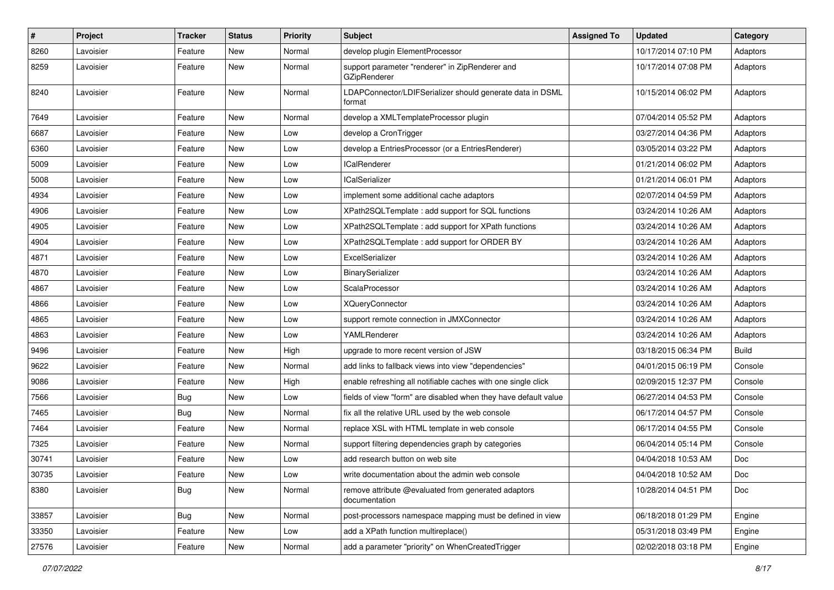| $\sharp$ | Project   | <b>Tracker</b> | <b>Status</b> | <b>Priority</b> | Subject                                                              | <b>Assigned To</b> | <b>Updated</b>      | Category     |
|----------|-----------|----------------|---------------|-----------------|----------------------------------------------------------------------|--------------------|---------------------|--------------|
| 8260     | Lavoisier | Feature        | New           | Normal          | develop plugin ElementProcessor                                      |                    | 10/17/2014 07:10 PM | Adaptors     |
| 8259     | Lavoisier | Feature        | New           | Normal          | support parameter "renderer" in ZipRenderer and<br>GZipRenderer      |                    | 10/17/2014 07:08 PM | Adaptors     |
| 8240     | Lavoisier | Feature        | New           | Normal          | LDAPConnector/LDIFSerializer should generate data in DSML<br>format  |                    | 10/15/2014 06:02 PM | Adaptors     |
| 7649     | Lavoisier | Feature        | New           | Normal          | develop a XMLTemplateProcessor plugin                                |                    | 07/04/2014 05:52 PM | Adaptors     |
| 6687     | Lavoisier | Feature        | New           | Low             | develop a CronTrigger                                                |                    | 03/27/2014 04:36 PM | Adaptors     |
| 6360     | Lavoisier | Feature        | New           | Low             | develop a EntriesProcessor (or a EntriesRenderer)                    |                    | 03/05/2014 03:22 PM | Adaptors     |
| 5009     | Lavoisier | Feature        | New           | Low             | <b>ICalRenderer</b>                                                  |                    | 01/21/2014 06:02 PM | Adaptors     |
| 5008     | Lavoisier | Feature        | New           | Low             | <b>ICalSerializer</b>                                                |                    | 01/21/2014 06:01 PM | Adaptors     |
| 4934     | Lavoisier | Feature        | New           | Low             | implement some additional cache adaptors                             |                    | 02/07/2014 04:59 PM | Adaptors     |
| 4906     | Lavoisier | Feature        | New           | Low             | XPath2SQLTemplate : add support for SQL functions                    |                    | 03/24/2014 10:26 AM | Adaptors     |
| 4905     | Lavoisier | Feature        | New           | Low             | XPath2SQLTemplate: add support for XPath functions                   |                    | 03/24/2014 10:26 AM | Adaptors     |
| 4904     | Lavoisier | Feature        | New           | Low             | XPath2SQLTemplate : add support for ORDER BY                         |                    | 03/24/2014 10:26 AM | Adaptors     |
| 4871     | Lavoisier | Feature        | New           | Low             | ExcelSerializer                                                      |                    | 03/24/2014 10:26 AM | Adaptors     |
| 4870     | Lavoisier | Feature        | New           | Low             | BinarySerializer                                                     |                    | 03/24/2014 10:26 AM | Adaptors     |
| 4867     | Lavoisier | Feature        | New           | Low             | ScalaProcessor                                                       |                    | 03/24/2014 10:26 AM | Adaptors     |
| 4866     | Lavoisier | Feature        | New           | Low             | <b>XQueryConnector</b>                                               |                    | 03/24/2014 10:26 AM | Adaptors     |
| 4865     | Lavoisier | Feature        | New           | Low             | support remote connection in JMXConnector                            |                    | 03/24/2014 10:26 AM | Adaptors     |
| 4863     | Lavoisier | Feature        | New           | .ow             | YAMLRenderer                                                         |                    | 03/24/2014 10:26 AM | Adaptors     |
| 9496     | Lavoisier | Feature        | New           | High            | upgrade to more recent version of JSW                                |                    | 03/18/2015 06:34 PM | <b>Build</b> |
| 9622     | Lavoisier | Feature        | New           | Normal          | add links to fallback views into view "dependencies"                 |                    | 04/01/2015 06:19 PM | Console      |
| 9086     | Lavoisier | Feature        | New           | High            | enable refreshing all notifiable caches with one single click        |                    | 02/09/2015 12:37 PM | Console      |
| 7566     | Lavoisier | Bug            | New           | Low             | fields of view "form" are disabled when they have default value      |                    | 06/27/2014 04:53 PM | Console      |
| 7465     | Lavoisier | Bug            | New           | Normal          | fix all the relative URL used by the web console                     |                    | 06/17/2014 04:57 PM | Console      |
| 7464     | Lavoisier | Feature        | New           | Normal          | replace XSL with HTML template in web console                        |                    | 06/17/2014 04:55 PM | Console      |
| 7325     | Lavoisier | Feature        | New           | Normal          | support filtering dependencies graph by categories                   |                    | 06/04/2014 05:14 PM | Console      |
| 30741    | Lavoisier | Feature        | New           | Low             | add research button on web site                                      |                    | 04/04/2018 10:53 AM | Doc          |
| 30735    | Lavoisier | Feature        | New           | Low             | write documentation about the admin web console                      |                    | 04/04/2018 10:52 AM | Doc          |
| 8380     | Lavoisier | Bug            | New           | Normal          | remove attribute @evaluated from generated adaptors<br>documentation |                    | 10/28/2014 04:51 PM | Doc          |
| 33857    | Lavoisier | Bug            | New           | Normal          | post-processors namespace mapping must be defined in view            |                    | 06/18/2018 01:29 PM | Engine       |
| 33350    | Lavoisier | Feature        | New           | Low             | add a XPath function multireplace()                                  |                    | 05/31/2018 03:49 PM | Engine       |
| 27576    | Lavoisier | Feature        | New           | Normal          | add a parameter "priority" on WhenCreatedTrigger                     |                    | 02/02/2018 03:18 PM | Engine       |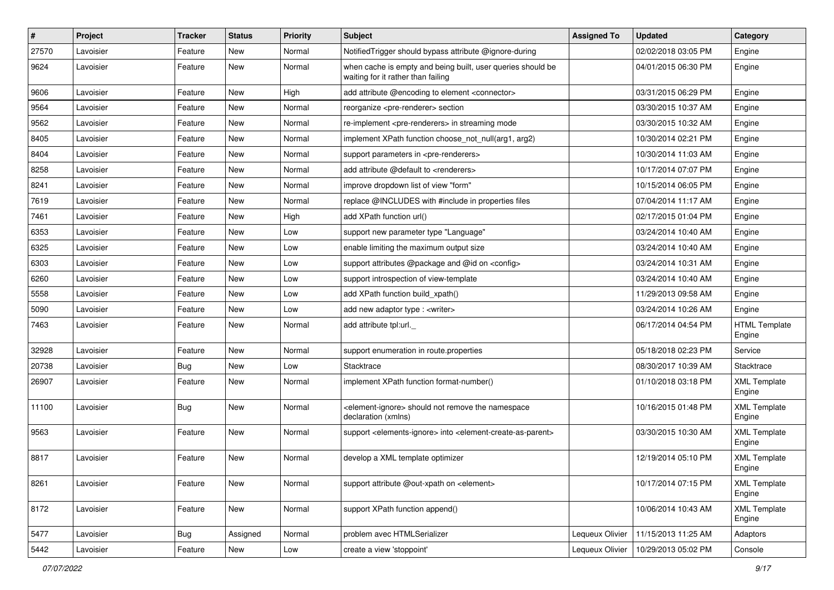| $\vert$ # | Project   | <b>Tracker</b> | <b>Status</b> | <b>Priority</b> | Subject                                                                                                | <b>Assigned To</b> | <b>Updated</b>      | Category                       |
|-----------|-----------|----------------|---------------|-----------------|--------------------------------------------------------------------------------------------------------|--------------------|---------------------|--------------------------------|
| 27570     | Lavoisier | Feature        | New           | Normal          | Notified Trigger should bypass attribute @ignore-during                                                |                    | 02/02/2018 03:05 PM | Engine                         |
| 9624      | Lavoisier | Feature        | New           | Normal          | when cache is empty and being built, user queries should be<br>waiting for it rather than failing      |                    | 04/01/2015 06:30 PM | Engine                         |
| 9606      | Lavoisier | Feature        | New           | High            | add attribute @encoding to element <connector></connector>                                             |                    | 03/31/2015 06:29 PM | Engine                         |
| 9564      | Lavoisier | Feature        | New           | Normal          | reorganize <pre-renderer> section</pre-renderer>                                                       |                    | 03/30/2015 10:37 AM | Engine                         |
| 9562      | Lavoisier | Feature        | New           | Normal          | re-implement <pre-renderers> in streaming mode</pre-renderers>                                         |                    | 03/30/2015 10:32 AM | Engine                         |
| 8405      | Lavoisier | Feature        | New           | Normal          | implement XPath function choose not null(arg1, arg2)                                                   |                    | 10/30/2014 02:21 PM | Engine                         |
| 8404      | Lavoisier | Feature        | New           | Normal          | support parameters in <pre-renderers></pre-renderers>                                                  |                    | 10/30/2014 11:03 AM | Engine                         |
| 8258      | Lavoisier | Feature        | New           | Normal          | add attribute @default to <renderers></renderers>                                                      |                    | 10/17/2014 07:07 PM | Engine                         |
| 8241      | Lavoisier | Feature        | New           | Normal          | improve dropdown list of view "form"                                                                   |                    | 10/15/2014 06:05 PM | Engine                         |
| 7619      | Lavoisier | Feature        | New           | Normal          | replace @INCLUDES with #include in properties files                                                    |                    | 07/04/2014 11:17 AM | Engine                         |
| 7461      | Lavoisier | Feature        | New           | High            | add XPath function url()                                                                               |                    | 02/17/2015 01:04 PM | Engine                         |
| 6353      | Lavoisier | Feature        | New           | Low             | support new parameter type "Language"                                                                  |                    | 03/24/2014 10:40 AM | Engine                         |
| 6325      | Lavoisier | Feature        | New           | Low             | enable limiting the maximum output size                                                                |                    | 03/24/2014 10:40 AM | Engine                         |
| 6303      | Lavoisier | Feature        | New           | Low             | support attributes @package and @id on <config></config>                                               |                    | 03/24/2014 10:31 AM | Engine                         |
| 6260      | Lavoisier | Feature        | New           | Low             | support introspection of view-template                                                                 |                    | 03/24/2014 10:40 AM | Engine                         |
| 5558      | Lavoisier | Feature        | New           | Low             | add XPath function build xpath()                                                                       |                    | 11/29/2013 09:58 AM | Engine                         |
| 5090      | Lavoisier | Feature        | New           | Low             | add new adaptor type : <writer></writer>                                                               |                    | 03/24/2014 10:26 AM | Engine                         |
| 7463      | Lavoisier | Feature        | New           | Normal          | add attribute tpl:url.                                                                                 |                    | 06/17/2014 04:54 PM | <b>HTML Template</b><br>Engine |
| 32928     | Lavoisier | Feature        | New           | Normal          | support enumeration in route properties                                                                |                    | 05/18/2018 02:23 PM | Service                        |
| 20738     | Lavoisier | <b>Bug</b>     | New           | Low             | Stacktrace                                                                                             |                    | 08/30/2017 10:39 AM | Stacktrace                     |
| 26907     | Lavoisier | Feature        | New           | Normal          | implement XPath function format-number()                                                               |                    | 01/10/2018 03:18 PM | <b>XML Template</b><br>Engine  |
| 11100     | Lavoisier | Bug            | New           | Normal          | <element-ignore> should not remove the namespace<br/>declaration (xmlns)</element-ignore>              |                    | 10/16/2015 01:48 PM | <b>XML Template</b><br>Engine  |
| 9563      | Lavoisier | Feature        | New           | Normal          | support <elements-ignore> into <element-create-as-parent></element-create-as-parent></elements-ignore> |                    | 03/30/2015 10:30 AM | <b>XML Template</b><br>Engine  |
| 8817      | Lavoisier | Feature        | New           | Normal          | develop a XML template optimizer                                                                       |                    | 12/19/2014 05:10 PM | <b>XML Template</b><br>Engine  |
| 8261      | Lavoisier | Feature        | New           | Normal          | support attribute @out-xpath on <element></element>                                                    |                    | 10/17/2014 07:15 PM | <b>XML Template</b><br>Engine  |
| 8172      | Lavoisier | Feature        | New           | Normal          | support XPath function append()                                                                        |                    | 10/06/2014 10:43 AM | <b>XML Template</b><br>Engine  |
| 5477      | Lavoisier | Bug            | Assigned      | Normal          | problem avec HTMLSerializer                                                                            | Lequeux Olivier    | 11/15/2013 11:25 AM | Adaptors                       |
| 5442      | Lavoisier | Feature        | New           | Low             | create a view 'stoppoint'                                                                              | Lequeux Olivier    | 10/29/2013 05:02 PM | Console                        |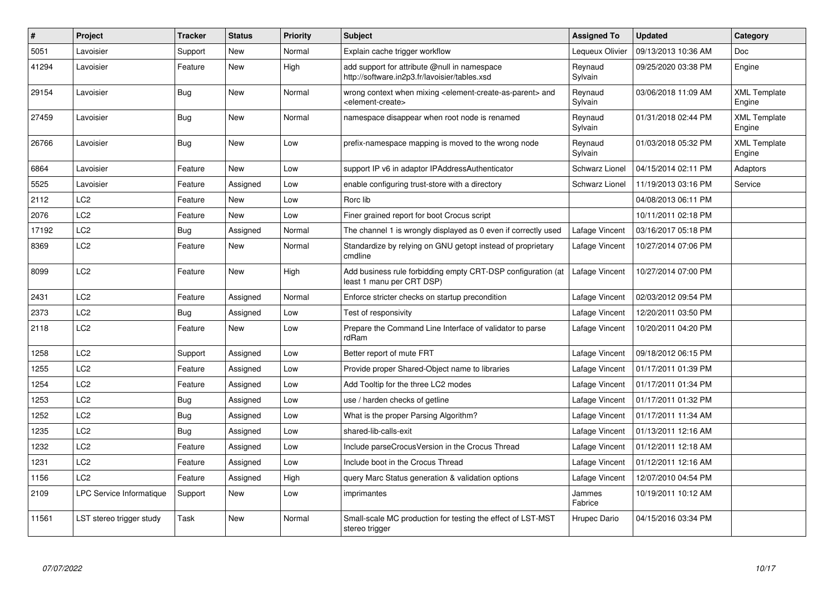| $\#$  | Project                  | <b>Tracker</b> | <b>Status</b> | <b>Priority</b> | <b>Subject</b>                                                                                                            | <b>Assigned To</b> | <b>Updated</b>      | Category                      |
|-------|--------------------------|----------------|---------------|-----------------|---------------------------------------------------------------------------------------------------------------------------|--------------------|---------------------|-------------------------------|
| 5051  | Lavoisier                | Support        | New           | Normal          | Explain cache trigger workflow                                                                                            | Lequeux Olivier    | 09/13/2013 10:36 AM | Doc                           |
| 41294 | Lavoisier                | Feature        | <b>New</b>    | High            | add support for attribute @null in namespace<br>http://software.in2p3.fr/lavoisier/tables.xsd                             | Reynaud<br>Sylvain | 09/25/2020 03:38 PM | Engine                        |
| 29154 | Lavoisier                | Bug            | New           | Normal          | wrong context when mixing <element-create-as-parent> and<br/><element-create></element-create></element-create-as-parent> | Reynaud<br>Sylvain | 03/06/2018 11:09 AM | <b>XML Template</b><br>Engine |
| 27459 | Lavoisier                | Bug            | New           | Normal          | namespace disappear when root node is renamed                                                                             | Reynaud<br>Sylvain | 01/31/2018 02:44 PM | <b>XML Template</b><br>Engine |
| 26766 | Lavoisier                | Bug            | New           | Low             | prefix-namespace mapping is moved to the wrong node                                                                       | Reynaud<br>Sylvain | 01/03/2018 05:32 PM | <b>XML Template</b><br>Engine |
| 6864  | Lavoisier                | Feature        | New           | Low             | support IP v6 in adaptor IPAddressAuthenticator                                                                           | Schwarz Lionel     | 04/15/2014 02:11 PM | Adaptors                      |
| 5525  | Lavoisier                | Feature        | Assigned      | Low             | enable configuring trust-store with a directory                                                                           | Schwarz Lionel     | 11/19/2013 03:16 PM | Service                       |
| 2112  | LC2                      | Feature        | New           | Low             | Rorc lib                                                                                                                  |                    | 04/08/2013 06:11 PM |                               |
| 2076  | LC <sub>2</sub>          | Feature        | New           | Low             | Finer grained report for boot Crocus script                                                                               |                    | 10/11/2011 02:18 PM |                               |
| 17192 | LC <sub>2</sub>          | Bug            | Assigned      | Normal          | The channel 1 is wrongly displayed as 0 even if correctly used                                                            | Lafage Vincent     | 03/16/2017 05:18 PM |                               |
| 8369  | LC2                      | Feature        | <b>New</b>    | Normal          | Standardize by relying on GNU getopt instead of proprietary<br>cmdline                                                    | Lafage Vincent     | 10/27/2014 07:06 PM |                               |
| 8099  | LC2                      | Feature        | <b>New</b>    | High            | Add business rule forbidding empty CRT-DSP configuration (at<br>least 1 manu per CRT DSP)                                 | Lafage Vincent     | 10/27/2014 07:00 PM |                               |
| 2431  | LC <sub>2</sub>          | Feature        | Assigned      | Normal          | Enforce stricter checks on startup precondition                                                                           | Lafage Vincent     | 02/03/2012 09:54 PM |                               |
| 2373  | LC2                      | Bug            | Assigned      | Low             | Test of responsivity                                                                                                      | Lafage Vincent     | 12/20/2011 03:50 PM |                               |
| 2118  | LC2                      | Feature        | <b>New</b>    | Low             | Prepare the Command Line Interface of validator to parse<br>rdRam                                                         | Lafage Vincent     | 10/20/2011 04:20 PM |                               |
| 1258  | LC <sub>2</sub>          | Support        | Assigned      | Low             | Better report of mute FRT                                                                                                 | Lafage Vincent     | 09/18/2012 06:15 PM |                               |
| 1255  | LC <sub>2</sub>          | Feature        | Assigned      | Low             | Provide proper Shared-Object name to libraries                                                                            | Lafage Vincent     | 01/17/2011 01:39 PM |                               |
| 1254  | LC <sub>2</sub>          | Feature        | Assigned      | Low             | Add Tooltip for the three LC2 modes                                                                                       | Lafage Vincent     | 01/17/2011 01:34 PM |                               |
| 1253  | LC <sub>2</sub>          | Bug            | Assigned      | Low             | use / harden checks of getline                                                                                            | Lafage Vincent     | 01/17/2011 01:32 PM |                               |
| 1252  | LC <sub>2</sub>          | Bug            | Assigned      | Low             | What is the proper Parsing Algorithm?                                                                                     | Lafage Vincent     | 01/17/2011 11:34 AM |                               |
| 1235  | LC2                      | Bug            | Assigned      | Low             | shared-lib-calls-exit                                                                                                     | Lafage Vincent     | 01/13/2011 12:16 AM |                               |
| 1232  | LC <sub>2</sub>          | Feature        | Assigned      | Low             | Include parseCrocusVersion in the Crocus Thread                                                                           | Lafage Vincent     | 01/12/2011 12:18 AM |                               |
| 1231  | LC <sub>2</sub>          | Feature        | Assigned      | Low             | Include boot in the Crocus Thread                                                                                         | Lafage Vincent     | 01/12/2011 12:16 AM |                               |
| 1156  | LC2                      | Feature        | Assigned      | High            | query Marc Status generation & validation options                                                                         | Lafage Vincent     | 12/07/2010 04:54 PM |                               |
| 2109  | LPC Service Informatique | Support        | New           | Low             | imprimantes                                                                                                               | Jammes<br>Fabrice  | 10/19/2011 10:12 AM |                               |
| 11561 | LST stereo trigger study | Task           | <b>New</b>    | Normal          | Small-scale MC production for testing the effect of LST-MST<br>stereo trigger                                             | Hrupec Dario       | 04/15/2016 03:34 PM |                               |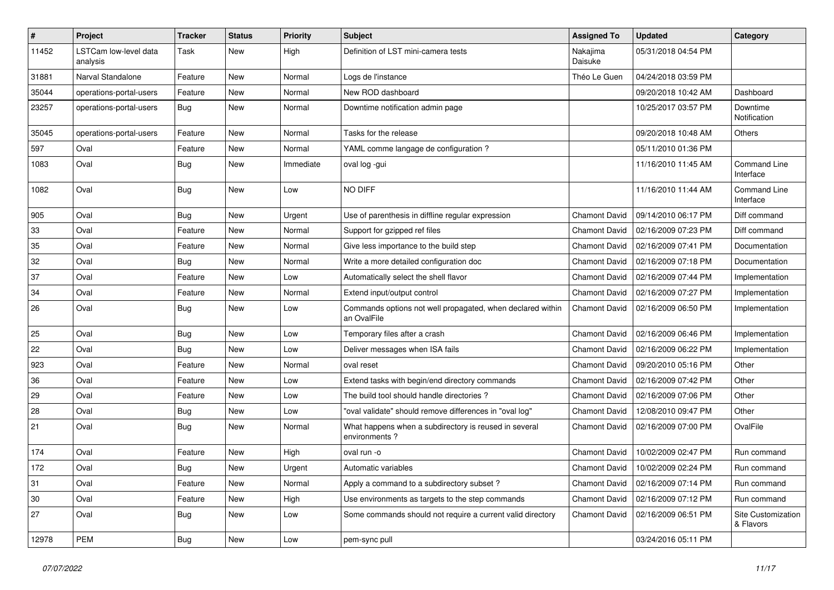| $\sharp$ | Project                           | <b>Tracker</b> | <b>Status</b> | <b>Priority</b> | <b>Subject</b>                                                            | <b>Assigned To</b>   | <b>Updated</b>      | Category                         |
|----------|-----------------------------------|----------------|---------------|-----------------|---------------------------------------------------------------------------|----------------------|---------------------|----------------------------------|
| 11452    | LSTCam low-level data<br>analysis | Task           | New           | High            | Definition of LST mini-camera tests                                       | Nakajima<br>Daisuke  | 05/31/2018 04:54 PM |                                  |
| 31881    | Narval Standalone                 | Feature        | New           | Normal          | Logs de l'instance                                                        | Théo Le Guen         | 04/24/2018 03:59 PM |                                  |
| 35044    | operations-portal-users           | Feature        | <b>New</b>    | Normal          | New ROD dashboard                                                         |                      | 09/20/2018 10:42 AM | Dashboard                        |
| 23257    | operations-portal-users           | Bug            | <b>New</b>    | Normal          | Downtime notification admin page                                          |                      | 10/25/2017 03:57 PM | Downtime<br>Notification         |
| 35045    | operations-portal-users           | Feature        | <b>New</b>    | Normal          | Tasks for the release                                                     |                      | 09/20/2018 10:48 AM | Others                           |
| 597      | Oval                              | Feature        | New           | Normal          | YAML comme langage de configuration ?                                     |                      | 05/11/2010 01:36 PM |                                  |
| 1083     | Oval                              | Bug            | New           | Immediate       | oval log -gui                                                             |                      | 11/16/2010 11:45 AM | <b>Command Line</b><br>Interface |
| 1082     | Oval                              | Bug            | <b>New</b>    | Low             | NO DIFF                                                                   |                      | 11/16/2010 11:44 AM | <b>Command Line</b><br>Interface |
| 905      | Oval                              | Bug            | <b>New</b>    | Urgent          | Use of parenthesis in diffline regular expression                         | <b>Chamont David</b> | 09/14/2010 06:17 PM | Diff command                     |
| 33       | Oval                              | Feature        | <b>New</b>    | Normal          | Support for gzipped ref files                                             | <b>Chamont David</b> | 02/16/2009 07:23 PM | Diff command                     |
| 35       | Oval                              | Feature        | <b>New</b>    | Normal          | Give less importance to the build step                                    | <b>Chamont David</b> | 02/16/2009 07:41 PM | Documentation                    |
| 32       | Oval                              | Bug            | <b>New</b>    | Normal          | Write a more detailed configuration doc                                   | <b>Chamont David</b> | 02/16/2009 07:18 PM | Documentation                    |
| 37       | Oval                              | Feature        | <b>New</b>    | Low             | Automatically select the shell flavor                                     | <b>Chamont David</b> | 02/16/2009 07:44 PM | Implementation                   |
| 34       | Oval                              | Feature        | <b>New</b>    | Normal          | Extend input/output control                                               | <b>Chamont David</b> | 02/16/2009 07:27 PM | Implementation                   |
| 26       | Oval                              | Bug            | <b>New</b>    | LOW             | Commands options not well propagated, when declared within<br>an OvalFile | <b>Chamont David</b> | 02/16/2009 06:50 PM | Implementation                   |
| 25       | Oval                              | Bug            | <b>New</b>    | Low             | Temporary files after a crash                                             | <b>Chamont David</b> | 02/16/2009 06:46 PM | Implementation                   |
| 22       | Oval                              | <b>Bug</b>     | <b>New</b>    | Low             | Deliver messages when ISA fails                                           | <b>Chamont David</b> | 02/16/2009 06:22 PM | Implementation                   |
| 923      | Oval                              | Feature        | <b>New</b>    | Normal          | oval reset                                                                | <b>Chamont David</b> | 09/20/2010 05:16 PM | Other                            |
| 36       | Oval                              | Feature        | <b>New</b>    | LOW             | Extend tasks with begin/end directory commands                            | <b>Chamont David</b> | 02/16/2009 07:42 PM | Other                            |
| 29       | Oval                              | Feature        | New           | Low             | The build tool should handle directories?                                 | Chamont David        | 02/16/2009 07:06 PM | Other                            |
| 28       | Oval                              | <b>Bug</b>     | <b>New</b>    | Low             | "oval validate" should remove differences in "oval log"                   | <b>Chamont David</b> | 12/08/2010 09:47 PM | Other                            |
| 21       | Oval                              | Bug            | <b>New</b>    | Normal          | What happens when a subdirectory is reused in several<br>environments?    | Chamont David        | 02/16/2009 07:00 PM | OvalFile                         |
| 174      | Oval                              | Feature        | <b>New</b>    | High            | oval run -o                                                               | <b>Chamont David</b> | 10/02/2009 02:47 PM | Run command                      |
| 172      | Oval                              | Bug            | New           | Urgent          | Automatic variables                                                       | <b>Chamont David</b> | 10/02/2009 02:24 PM | Run command                      |
| 31       | Oval                              | Feature        | <b>New</b>    | Normal          | Apply a command to a subdirectory subset?                                 | <b>Chamont David</b> | 02/16/2009 07:14 PM | Run command                      |
| 30       | Oval                              | Feature        | <b>New</b>    | High            | Use environments as targets to the step commands                          | <b>Chamont David</b> | 02/16/2009 07:12 PM | Run command                      |
| 27       | Oval                              | <b>Bug</b>     | New           | Low             | Some commands should not require a current valid directory                | <b>Chamont David</b> | 02/16/2009 06:51 PM | Site Customization<br>& Flavors  |
| 12978    | PEM                               | <b>Bug</b>     | New           | Low             | pem-sync pull                                                             |                      | 03/24/2016 05:11 PM |                                  |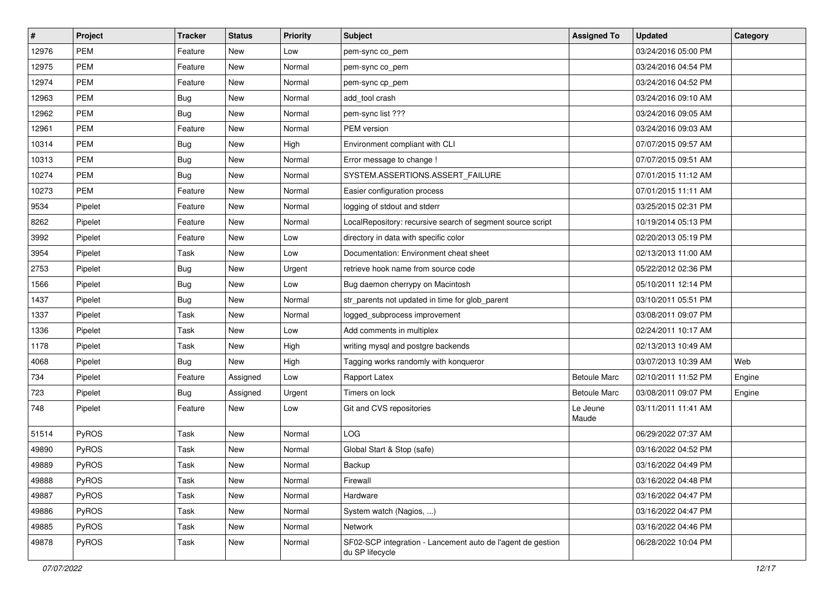| $\pmb{\sharp}$ | Project      | <b>Tracker</b> | <b>Status</b> | <b>Priority</b> | <b>Subject</b>                                                                 | <b>Assigned To</b>  | <b>Updated</b>      | Category |
|----------------|--------------|----------------|---------------|-----------------|--------------------------------------------------------------------------------|---------------------|---------------------|----------|
| 12976          | <b>PEM</b>   | Feature        | New           | Low             | pem-sync co_pem                                                                |                     | 03/24/2016 05:00 PM |          |
| 12975          | <b>PEM</b>   | Feature        | <b>New</b>    | Normal          | pem-sync co_pem                                                                |                     | 03/24/2016 04:54 PM |          |
| 12974          | <b>PEM</b>   | Feature        | New           | Normal          | pem-sync cp_pem                                                                |                     | 03/24/2016 04:52 PM |          |
| 12963          | <b>PEM</b>   | Bug            | <b>New</b>    | Normal          | add tool crash                                                                 |                     | 03/24/2016 09:10 AM |          |
| 12962          | <b>PEM</b>   | Bug            | <b>New</b>    | Normal          | pem-sync list ???                                                              |                     | 03/24/2016 09:05 AM |          |
| 12961          | <b>PEM</b>   | Feature        | <b>New</b>    | Normal          | PEM version                                                                    |                     | 03/24/2016 09:03 AM |          |
| 10314          | <b>PEM</b>   | Bug            | <b>New</b>    | High            | Environment compliant with CLI                                                 |                     | 07/07/2015 09:57 AM |          |
| 10313          | <b>PEM</b>   | <b>Bug</b>     | New           | Normal          | Error message to change !                                                      |                     | 07/07/2015 09:51 AM |          |
| 10274          | <b>PEM</b>   | <b>Bug</b>     | <b>New</b>    | Normal          | SYSTEM.ASSERTIONS.ASSERT_FAILURE                                               |                     | 07/01/2015 11:12 AM |          |
| 10273          | <b>PEM</b>   | Feature        | <b>New</b>    | Normal          | Easier configuration process                                                   |                     | 07/01/2015 11:11 AM |          |
| 9534           | Pipelet      | Feature        | New           | Normal          | logging of stdout and stderr                                                   |                     | 03/25/2015 02:31 PM |          |
| 8262           | Pipelet      | Feature        | New           | Normal          | LocalRepository: recursive search of segment source script                     |                     | 10/19/2014 05:13 PM |          |
| 3992           | Pipelet      | Feature        | <b>New</b>    | Low             | directory in data with specific color                                          |                     | 02/20/2013 05:19 PM |          |
| 3954           | Pipelet      | Task           | <b>New</b>    | Low             | Documentation: Environment cheat sheet                                         |                     | 02/13/2013 11:00 AM |          |
| 2753           | Pipelet      | <b>Bug</b>     | <b>New</b>    | Urgent          | retrieve hook name from source code                                            |                     | 05/22/2012 02:36 PM |          |
| 1566           | Pipelet      | Bug            | New           | Low             | Bug daemon cherrypy on Macintosh                                               |                     | 05/10/2011 12:14 PM |          |
| 1437           | Pipelet      | <b>Bug</b>     | New           | Normal          | str_parents not updated in time for glob_parent                                |                     | 03/10/2011 05:51 PM |          |
| 1337           | Pipelet      | Task           | <b>New</b>    | Normal          | logged_subprocess improvement                                                  |                     | 03/08/2011 09:07 PM |          |
| 1336           | Pipelet      | Task           | <b>New</b>    | Low             | Add comments in multiplex                                                      |                     | 02/24/2011 10:17 AM |          |
| 1178           | Pipelet      | Task           | <b>New</b>    | High            | writing mysql and postgre backends                                             |                     | 02/13/2013 10:49 AM |          |
| 4068           | Pipelet      | Bug            | <b>New</b>    | High            | Tagging works randomly with konqueror                                          |                     | 03/07/2013 10:39 AM | Web      |
| 734            | Pipelet      | Feature        | Assigned      | Low             | Rapport Latex                                                                  | <b>Betoule Marc</b> | 02/10/2011 11:52 PM | Engine   |
| 723            | Pipelet      | Bug            | Assigned      | Urgent          | Timers on lock                                                                 | <b>Betoule Marc</b> | 03/08/2011 09:07 PM | Engine   |
| 748            | Pipelet      | Feature        | <b>New</b>    | Low             | Git and CVS repositories                                                       | Le Jeune<br>Maude   | 03/11/2011 11:41 AM |          |
| 51514          | PyROS        | Task           | <b>New</b>    | Normal          | <b>LOG</b>                                                                     |                     | 06/29/2022 07:37 AM |          |
| 49890          | <b>PyROS</b> | Task           | <b>New</b>    | Normal          | Global Start & Stop (safe)                                                     |                     | 03/16/2022 04:52 PM |          |
| 49889          | PyROS        | Task           | <b>New</b>    | Normal          | Backup                                                                         |                     | 03/16/2022 04:49 PM |          |
| 49888          | PyROS        | Task           | New           | Normal          | Firewall                                                                       |                     | 03/16/2022 04:48 PM |          |
| 49887          | PyROS        | Task           | <b>New</b>    | Normal          | Hardware                                                                       |                     | 03/16/2022 04:47 PM |          |
| 49886          | PyROS        | Task           | New           | Normal          | System watch (Nagios, )                                                        |                     | 03/16/2022 04:47 PM |          |
| 49885          | PyROS        | Task           | New           | Normal          | <b>Network</b>                                                                 |                     | 03/16/2022 04:46 PM |          |
| 49878          | <b>PyROS</b> | Task           | New           | Normal          | SF02-SCP integration - Lancement auto de l'agent de gestion<br>du SP lifecycle |                     | 06/28/2022 10:04 PM |          |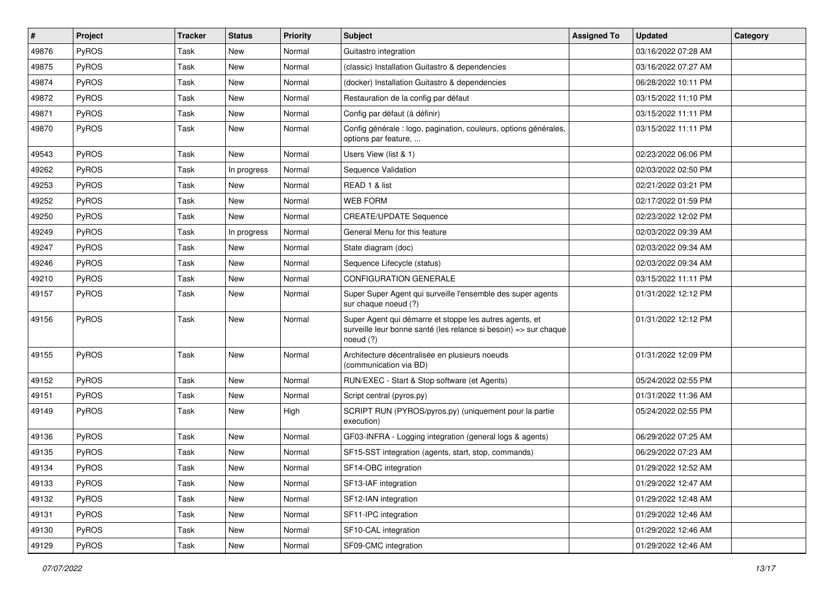| $\vert$ # | Project      | <b>Tracker</b> | <b>Status</b> | <b>Priority</b> | Subject                                                                                                                                  | <b>Assigned To</b> | <b>Updated</b>      | Category |
|-----------|--------------|----------------|---------------|-----------------|------------------------------------------------------------------------------------------------------------------------------------------|--------------------|---------------------|----------|
| 49876     | <b>PyROS</b> | Task           | New           | Normal          | Guitastro integration                                                                                                                    |                    | 03/16/2022 07:28 AM |          |
| 49875     | PyROS        | Task           | <b>New</b>    | Normal          | (classic) Installation Guitastro & dependencies                                                                                          |                    | 03/16/2022 07:27 AM |          |
| 49874     | PyROS        | Task           | New           | Normal          | (docker) Installation Guitastro & dependencies                                                                                           |                    | 06/28/2022 10:11 PM |          |
| 49872     | PyROS        | Task           | New           | Normal          | Restauration de la config par défaut                                                                                                     |                    | 03/15/2022 11:10 PM |          |
| 49871     | PyROS        | Task           | <b>New</b>    | Normal          | Config par défaut (à définir)                                                                                                            |                    | 03/15/2022 11:11 PM |          |
| 49870     | <b>PyROS</b> | Task           | <b>New</b>    | Normal          | Config générale : logo, pagination, couleurs, options générales,<br>options par feature,                                                 |                    | 03/15/2022 11:11 PM |          |
| 49543     | PyROS        | Task           | <b>New</b>    | Normal          | Users View (list & 1)                                                                                                                    |                    | 02/23/2022 06:06 PM |          |
| 49262     | <b>PyROS</b> | Task           | In progress   | Normal          | Sequence Validation                                                                                                                      |                    | 02/03/2022 02:50 PM |          |
| 49253     | PyROS        | Task           | <b>New</b>    | Normal          | READ 1 & list                                                                                                                            |                    | 02/21/2022 03:21 PM |          |
| 49252     | <b>PyROS</b> | Task           | New           | Normal          | <b>WEB FORM</b>                                                                                                                          |                    | 02/17/2022 01:59 PM |          |
| 49250     | PyROS        | Task           | New           | Normal          | <b>CREATE/UPDATE Sequence</b>                                                                                                            |                    | 02/23/2022 12:02 PM |          |
| 49249     | PyROS        | Task           | In progress   | Normal          | General Menu for this feature                                                                                                            |                    | 02/03/2022 09:39 AM |          |
| 49247     | <b>PyROS</b> | Task           | New           | Normal          | State diagram (doc)                                                                                                                      |                    | 02/03/2022 09:34 AM |          |
| 49246     | PyROS        | Task           | <b>New</b>    | Normal          | Sequence Lifecycle (status)                                                                                                              |                    | 02/03/2022 09:34 AM |          |
| 49210     | PyROS        | Task           | <b>New</b>    | Normal          | <b>CONFIGURATION GENERALE</b>                                                                                                            |                    | 03/15/2022 11:11 PM |          |
| 49157     | PyROS        | Task           | New           | Normal          | Super Super Agent qui surveille l'ensemble des super agents<br>sur chaque noeud (?)                                                      |                    | 01/31/2022 12:12 PM |          |
| 49156     | PyROS        | Task           | <b>New</b>    | Normal          | Super Agent qui démarre et stoppe les autres agents, et<br>surveille leur bonne santé (les relance si besoin) => sur chaque<br>noeud (?) |                    | 01/31/2022 12:12 PM |          |
| 49155     | PyROS        | Task           | <b>New</b>    | Normal          | Architecture décentralisée en plusieurs noeuds<br>(communication via BD)                                                                 |                    | 01/31/2022 12:09 PM |          |
| 49152     | PyROS        | Task           | <b>New</b>    | Normal          | RUN/EXEC - Start & Stop software (et Agents)                                                                                             |                    | 05/24/2022 02:55 PM |          |
| 49151     | PyROS        | Task           | New           | Normal          | Script central (pyros.py)                                                                                                                |                    | 01/31/2022 11:36 AM |          |
| 49149     | <b>PyROS</b> | Task           | <b>New</b>    | High            | SCRIPT RUN (PYROS/pyros.py) (uniquement pour la partie<br>execution)                                                                     |                    | 05/24/2022 02:55 PM |          |
| 49136     | PyROS        | Task           | <b>New</b>    | Normal          | GF03-INFRA - Logging integration (general logs & agents)                                                                                 |                    | 06/29/2022 07:25 AM |          |
| 49135     | PyROS        | Task           | <b>New</b>    | Normal          | SF15-SST integration (agents, start, stop, commands)                                                                                     |                    | 06/29/2022 07:23 AM |          |
| 49134     | <b>PyROS</b> | Task           | New           | Normal          | SF14-OBC integration                                                                                                                     |                    | 01/29/2022 12:52 AM |          |
| 49133     | PyROS        | Task           | New           | Normal          | SF13-IAF integration                                                                                                                     |                    | 01/29/2022 12:47 AM |          |
| 49132     | PyROS        | Task           | New           | Normal          | SF12-IAN integration                                                                                                                     |                    | 01/29/2022 12:48 AM |          |
| 49131     | PyROS        | Task           | New           | Normal          | SF11-IPC integration                                                                                                                     |                    | 01/29/2022 12:46 AM |          |
| 49130     | PyROS        | Task           | New           | Normal          | SF10-CAL integration                                                                                                                     |                    | 01/29/2022 12:46 AM |          |
| 49129     | PyROS        | Task           | New           | Normal          | SF09-CMC integration                                                                                                                     |                    | 01/29/2022 12:46 AM |          |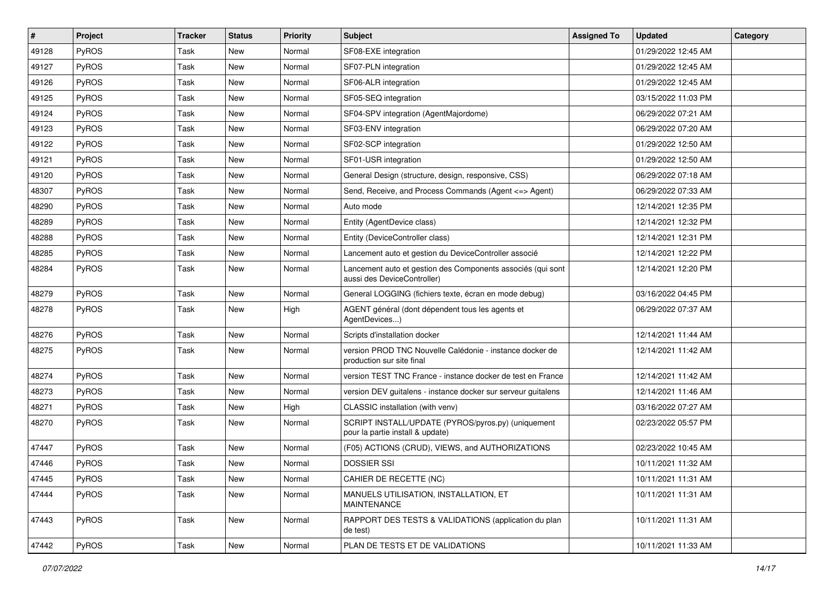| $\vert$ # | Project | <b>Tracker</b> | <b>Status</b> | <b>Priority</b> | <b>Subject</b>                                                                             | <b>Assigned To</b> | <b>Updated</b>      | Category |
|-----------|---------|----------------|---------------|-----------------|--------------------------------------------------------------------------------------------|--------------------|---------------------|----------|
| 49128     | PyROS   | Task           | New           | Normal          | SF08-EXE integration                                                                       |                    | 01/29/2022 12:45 AM |          |
| 49127     | PyROS   | Task           | <b>New</b>    | Normal          | SF07-PLN integration                                                                       |                    | 01/29/2022 12:45 AM |          |
| 49126     | PyROS   | Task           | New           | Normal          | SF06-ALR integration                                                                       |                    | 01/29/2022 12:45 AM |          |
| 49125     | PyROS   | Task           | <b>New</b>    | Normal          | SF05-SEQ integration                                                                       |                    | 03/15/2022 11:03 PM |          |
| 49124     | PyROS   | Task           | New           | Normal          | SF04-SPV integration (AgentMajordome)                                                      |                    | 06/29/2022 07:21 AM |          |
| 49123     | PyROS   | Task           | <b>New</b>    | Normal          | SF03-ENV integration                                                                       |                    | 06/29/2022 07:20 AM |          |
| 49122     | PyROS   | Task           | <b>New</b>    | Normal          | SF02-SCP integration                                                                       |                    | 01/29/2022 12:50 AM |          |
| 49121     | PyROS   | Task           | <b>New</b>    | Normal          | SF01-USR integration                                                                       |                    | 01/29/2022 12:50 AM |          |
| 49120     | PyROS   | Task           | <b>New</b>    | Normal          | General Design (structure, design, responsive, CSS)                                        |                    | 06/29/2022 07:18 AM |          |
| 48307     | PyROS   | Task           | <b>New</b>    | Normal          | Send, Receive, and Process Commands (Agent <= > Agent)                                     |                    | 06/29/2022 07:33 AM |          |
| 48290     | PyROS   | Task           | <b>New</b>    | Normal          | Auto mode                                                                                  |                    | 12/14/2021 12:35 PM |          |
| 48289     | PyROS   | Task           | <b>New</b>    | Normal          | Entity (AgentDevice class)                                                                 |                    | 12/14/2021 12:32 PM |          |
| 48288     | PyROS   | Task           | New           | Normal          | Entity (DeviceController class)                                                            |                    | 12/14/2021 12:31 PM |          |
| 48285     | PyROS   | Task           | <b>New</b>    | Normal          | Lancement auto et gestion du DeviceController associé                                      |                    | 12/14/2021 12:22 PM |          |
| 48284     | PyROS   | Task           | <b>New</b>    | Normal          | Lancement auto et gestion des Components associés (qui sont<br>aussi des DeviceController) |                    | 12/14/2021 12:20 PM |          |
| 48279     | PyROS   | Task           | New           | Normal          | General LOGGING (fichiers texte, écran en mode debug)                                      |                    | 03/16/2022 04:45 PM |          |
| 48278     | PyROS   | Task           | New           | High            | AGENT général (dont dépendent tous les agents et<br>AgentDevices)                          |                    | 06/29/2022 07:37 AM |          |
| 48276     | PyROS   | Task           | <b>New</b>    | Normal          | Scripts d'installation docker                                                              |                    | 12/14/2021 11:44 AM |          |
| 48275     | PyROS   | Task           | <b>New</b>    | Normal          | version PROD TNC Nouvelle Calédonie - instance docker de<br>production sur site final      |                    | 12/14/2021 11:42 AM |          |
| 48274     | PyROS   | Task           | <b>New</b>    | Normal          | version TEST TNC France - instance docker de test en France                                |                    | 12/14/2021 11:42 AM |          |
| 48273     | PyROS   | Task           | New           | Normal          | version DEV guitalens - instance docker sur serveur guitalens                              |                    | 12/14/2021 11:46 AM |          |
| 48271     | PyROS   | Task           | <b>New</b>    | High            | CLASSIC installation (with venv)                                                           |                    | 03/16/2022 07:27 AM |          |
| 48270     | PyROS   | Task           | <b>New</b>    | Normal          | SCRIPT INSTALL/UPDATE (PYROS/pyros.py) (uniquement<br>pour la partie install & update)     |                    | 02/23/2022 05:57 PM |          |
| 47447     | PyROS   | Task           | <b>New</b>    | Normal          | (F05) ACTIONS (CRUD), VIEWS, and AUTHORIZATIONS                                            |                    | 02/23/2022 10:45 AM |          |
| 47446     | PyROS   | Task           | New           | Normal          | <b>DOSSIER SSI</b>                                                                         |                    | 10/11/2021 11:32 AM |          |
| 47445     | PyROS   | Task           | New           | Normal          | CAHIER DE RECETTE (NC)                                                                     |                    | 10/11/2021 11:31 AM |          |
| 47444     | PyROS   | Task           | <b>New</b>    | Normal          | MANUELS UTILISATION, INSTALLATION, ET<br><b>MAINTENANCE</b>                                |                    | 10/11/2021 11:31 AM |          |
| 47443     | PyROS   | Task           | New           | Normal          | RAPPORT DES TESTS & VALIDATIONS (application du plan<br>de test)                           |                    | 10/11/2021 11:31 AM |          |
| 47442     | PyROS   | Task           | New           | Normal          | PLAN DE TESTS ET DE VALIDATIONS                                                            |                    | 10/11/2021 11:33 AM |          |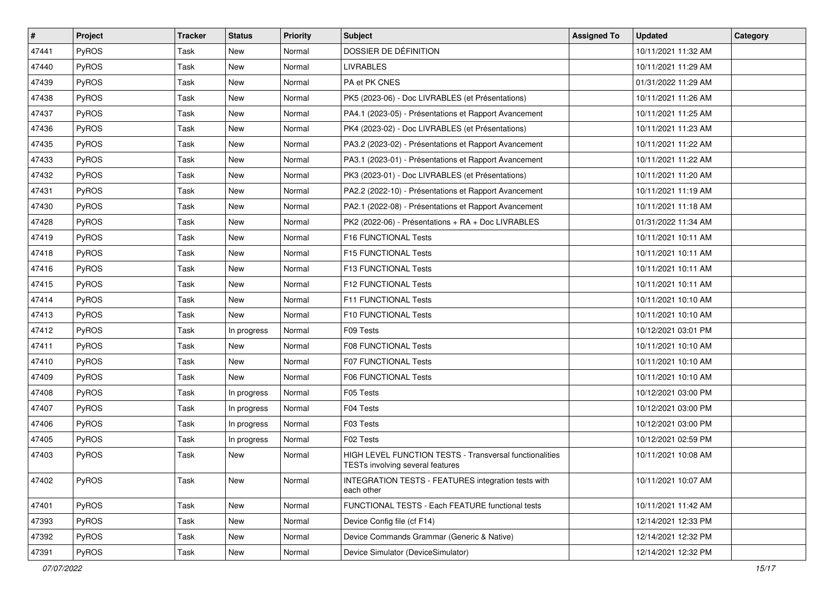| $\sharp$ | Project | <b>Tracker</b> | <b>Status</b> | <b>Priority</b> | Subject                                                                                     | <b>Assigned To</b> | <b>Updated</b>      | Category |
|----------|---------|----------------|---------------|-----------------|---------------------------------------------------------------------------------------------|--------------------|---------------------|----------|
| 47441    | PyROS   | Task           | New           | Normal          | DOSSIER DE DÉFINITION                                                                       |                    | 10/11/2021 11:32 AM |          |
| 47440    | PyROS   | Task           | <b>New</b>    | Normal          | <b>LIVRABLES</b>                                                                            |                    | 10/11/2021 11:29 AM |          |
| 47439    | PyROS   | Task           | <b>New</b>    | Normal          | PA et PK CNES                                                                               |                    | 01/31/2022 11:29 AM |          |
| 47438    | PyROS   | Task           | <b>New</b>    | Normal          | PK5 (2023-06) - Doc LIVRABLES (et Présentations)                                            |                    | 10/11/2021 11:26 AM |          |
| 47437    | PyROS   | Task           | <b>New</b>    | Normal          | PA4.1 (2023-05) - Présentations et Rapport Avancement                                       |                    | 10/11/2021 11:25 AM |          |
| 47436    | PyROS   | Task           | <b>New</b>    | Normal          | PK4 (2023-02) - Doc LIVRABLES (et Présentations)                                            |                    | 10/11/2021 11:23 AM |          |
| 47435    | PyROS   | Task           | <b>New</b>    | Normal          | PA3.2 (2023-02) - Présentations et Rapport Avancement                                       |                    | 10/11/2021 11:22 AM |          |
| 47433    | PyROS   | Task           | New           | Normal          | PA3.1 (2023-01) - Présentations et Rapport Avancement                                       |                    | 10/11/2021 11:22 AM |          |
| 47432    | PyROS   | Task           | <b>New</b>    | Normal          | PK3 (2023-01) - Doc LIVRABLES (et Présentations)                                            |                    | 10/11/2021 11:20 AM |          |
| 47431    | PyROS   | Task           | <b>New</b>    | Normal          | PA2.2 (2022-10) - Présentations et Rapport Avancement                                       |                    | 10/11/2021 11:19 AM |          |
| 47430    | PyROS   | Task           | <b>New</b>    | Normal          | PA2.1 (2022-08) - Présentations et Rapport Avancement                                       |                    | 10/11/2021 11:18 AM |          |
| 47428    | PyROS   | Task           | <b>New</b>    | Normal          | PK2 (2022-06) - Présentations + RA + Doc LIVRABLES                                          |                    | 01/31/2022 11:34 AM |          |
| 47419    | PyROS   | Task           | <b>New</b>    | Normal          | F16 FUNCTIONAL Tests                                                                        |                    | 10/11/2021 10:11 AM |          |
| 47418    | PyROS   | Task           | <b>New</b>    | Normal          | F15 FUNCTIONAL Tests                                                                        |                    | 10/11/2021 10:11 AM |          |
| 47416    | PyROS   | Task           | New           | Normal          | F13 FUNCTIONAL Tests                                                                        |                    | 10/11/2021 10:11 AM |          |
| 47415    | PyROS   | Task           | <b>New</b>    | Normal          | F12 FUNCTIONAL Tests                                                                        |                    | 10/11/2021 10:11 AM |          |
| 47414    | PyROS   | Task           | <b>New</b>    | Normal          | F11 FUNCTIONAL Tests                                                                        |                    | 10/11/2021 10:10 AM |          |
| 47413    | PyROS   | Task           | New           | Normal          | F10 FUNCTIONAL Tests                                                                        |                    | 10/11/2021 10:10 AM |          |
| 47412    | PyROS   | Task           | In progress   | Normal          | F09 Tests                                                                                   |                    | 10/12/2021 03:01 PM |          |
| 47411    | PyROS   | Task           | <b>New</b>    | Normal          | F08 FUNCTIONAL Tests                                                                        |                    | 10/11/2021 10:10 AM |          |
| 47410    | PyROS   | Task           | <b>New</b>    | Normal          | <b>F07 FUNCTIONAL Tests</b>                                                                 |                    | 10/11/2021 10:10 AM |          |
| 47409    | PyROS   | Task           | New           | Normal          | F06 FUNCTIONAL Tests                                                                        |                    | 10/11/2021 10:10 AM |          |
| 47408    | PyROS   | Task           | In progress   | Normal          | F05 Tests                                                                                   |                    | 10/12/2021 03:00 PM |          |
| 47407    | PyROS   | Task           | In progress   | Normal          | F04 Tests                                                                                   |                    | 10/12/2021 03:00 PM |          |
| 47406    | PyROS   | Task           | In progress   | Normal          | F03 Tests                                                                                   |                    | 10/12/2021 03:00 PM |          |
| 47405    | PyROS   | Task           | In progress   | Normal          | F02 Tests                                                                                   |                    | 10/12/2021 02:59 PM |          |
| 47403    | PyROS   | Task           | New           | Normal          | HIGH LEVEL FUNCTION TESTS - Transversal functionalities<br>TESTs involving several features |                    | 10/11/2021 10:08 AM |          |
| 47402    | PyROS   | Task           | New           | Normal          | <b>INTEGRATION TESTS - FEATURES integration tests with</b><br>each other                    |                    | 10/11/2021 10:07 AM |          |
| 47401    | PyROS   | Task           | New           | Normal          | FUNCTIONAL TESTS - Each FEATURE functional tests                                            |                    | 10/11/2021 11:42 AM |          |
| 47393    | PyROS   | Task           | New           | Normal          | Device Config file (cf F14)                                                                 |                    | 12/14/2021 12:33 PM |          |
| 47392    | PyROS   | Task           | <b>New</b>    | Normal          | Device Commands Grammar (Generic & Native)                                                  |                    | 12/14/2021 12:32 PM |          |
| 47391    | PyROS   | Task           | New           | Normal          | Device Simulator (DeviceSimulator)                                                          |                    | 12/14/2021 12:32 PM |          |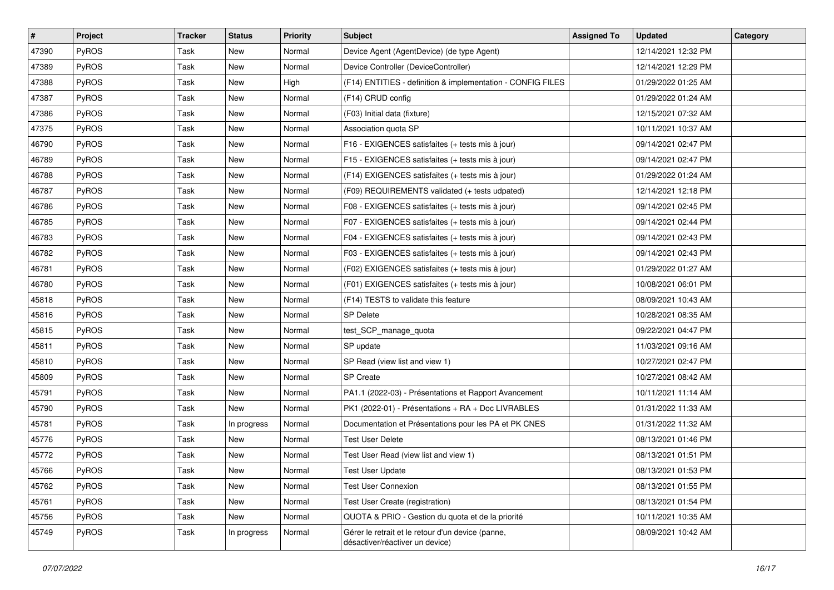| #     | Project      | <b>Tracker</b> | <b>Status</b> | <b>Priority</b> | <b>Subject</b>                                                                       | <b>Assigned To</b> | <b>Updated</b>      | Category |
|-------|--------------|----------------|---------------|-----------------|--------------------------------------------------------------------------------------|--------------------|---------------------|----------|
| 47390 | PyROS        | Task           | <b>New</b>    | Normal          | Device Agent (AgentDevice) (de type Agent)                                           |                    | 12/14/2021 12:32 PM |          |
| 47389 | PyROS        | Task           | <b>New</b>    | Normal          | Device Controller (DeviceController)                                                 |                    | 12/14/2021 12:29 PM |          |
| 47388 | PyROS        | Task           | New           | High            | (F14) ENTITIES - definition & implementation - CONFIG FILES                          |                    | 01/29/2022 01:25 AM |          |
| 47387 | PyROS        | Task           | <b>New</b>    | Normal          | (F14) CRUD config                                                                    |                    | 01/29/2022 01:24 AM |          |
| 47386 | PyROS        | Task           | <b>New</b>    | Normal          | (F03) Initial data (fixture)                                                         |                    | 12/15/2021 07:32 AM |          |
| 47375 | PyROS        | Task           | New           | Normal          | Association quota SP                                                                 |                    | 10/11/2021 10:37 AM |          |
| 46790 | PyROS        | Task           | <b>New</b>    | Normal          | F16 - EXIGENCES satisfaites (+ tests mis à jour)                                     |                    | 09/14/2021 02:47 PM |          |
| 46789 | PyROS        | Task           | New           | Normal          | F15 - EXIGENCES satisfaites (+ tests mis à jour)                                     |                    | 09/14/2021 02:47 PM |          |
| 46788 | PyROS        | Task           | <b>New</b>    | Normal          | (F14) EXIGENCES satisfaites (+ tests mis à jour)                                     |                    | 01/29/2022 01:24 AM |          |
| 46787 | PyROS        | Task           | <b>New</b>    | Normal          | (F09) REQUIREMENTS validated (+ tests udpated)                                       |                    | 12/14/2021 12:18 PM |          |
| 46786 | PyROS        | Task           | New           | Normal          | F08 - EXIGENCES satisfaites (+ tests mis à jour)                                     |                    | 09/14/2021 02:45 PM |          |
| 46785 | PyROS        | Task           | New           | Normal          | F07 - EXIGENCES satisfaites (+ tests mis à jour)                                     |                    | 09/14/2021 02:44 PM |          |
| 46783 | PyROS        | Task           | New           | Normal          | F04 - EXIGENCES satisfaites (+ tests mis à jour)                                     |                    | 09/14/2021 02:43 PM |          |
| 46782 | PyROS        | Task           | <b>New</b>    | Normal          | F03 - EXIGENCES satisfaites (+ tests mis à jour)                                     |                    | 09/14/2021 02:43 PM |          |
| 46781 | PyROS        | Task           | <b>New</b>    | Normal          | (F02) EXIGENCES satisfaites (+ tests mis à jour)                                     |                    | 01/29/2022 01:27 AM |          |
| 46780 | PyROS        | Task           | New           | Normal          | (F01) EXIGENCES satisfaites (+ tests mis à jour)                                     |                    | 10/08/2021 06:01 PM |          |
| 45818 | PyROS        | Task           | New           | Normal          | (F14) TESTS to validate this feature                                                 |                    | 08/09/2021 10:43 AM |          |
| 45816 | PyROS        | Task           | <b>New</b>    | Normal          | <b>SP Delete</b>                                                                     |                    | 10/28/2021 08:35 AM |          |
| 45815 | PyROS        | Task           | New           | Normal          | test_SCP_manage_quota                                                                |                    | 09/22/2021 04:47 PM |          |
| 45811 | PyROS        | Task           | New           | Normal          | SP update                                                                            |                    | 11/03/2021 09:16 AM |          |
| 45810 | PyROS        | Task           | New           | Normal          | SP Read (view list and view 1)                                                       |                    | 10/27/2021 02:47 PM |          |
| 45809 | PyROS        | Task           | <b>New</b>    | Normal          | <b>SP</b> Create                                                                     |                    | 10/27/2021 08:42 AM |          |
| 45791 | PyROS        | Task           | <b>New</b>    | Normal          | PA1.1 (2022-03) - Présentations et Rapport Avancement                                |                    | 10/11/2021 11:14 AM |          |
| 45790 | PyROS        | Task           | New           | Normal          | PK1 (2022-01) - Présentations + RA + Doc LIVRABLES                                   |                    | 01/31/2022 11:33 AM |          |
| 45781 | PyROS        | Task           | In progress   | Normal          | Documentation et Présentations pour les PA et PK CNES                                |                    | 01/31/2022 11:32 AM |          |
| 45776 | <b>PyROS</b> | Task           | New           | Normal          | <b>Test User Delete</b>                                                              |                    | 08/13/2021 01:46 PM |          |
| 45772 | PyROS        | Task           | <b>New</b>    | Normal          | Test User Read (view list and view 1)                                                |                    | 08/13/2021 01:51 PM |          |
| 45766 | PyROS        | Task           | New           | Normal          | <b>Test User Update</b>                                                              |                    | 08/13/2021 01:53 PM |          |
| 45762 | <b>PyROS</b> | Task           | New           | Normal          | Test User Connexion                                                                  |                    | 08/13/2021 01:55 PM |          |
| 45761 | PyROS        | Task           | New           | Normal          | Test User Create (registration)                                                      |                    | 08/13/2021 01:54 PM |          |
| 45756 | PyROS        | Task           | New           | Normal          | QUOTA & PRIO - Gestion du quota et de la priorité                                    |                    | 10/11/2021 10:35 AM |          |
| 45749 | PyROS        | Task           | In progress   | Normal          | Gérer le retrait et le retour d'un device (panne,<br>désactiver/réactiver un device) |                    | 08/09/2021 10:42 AM |          |